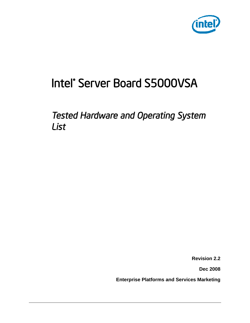

# Intel® Server Board S5000VSA

*Tested Hardware and Operating System List* 

**Revision 2.2**

**Dec 2008**

**Enterprise Platforms and Services Marketing**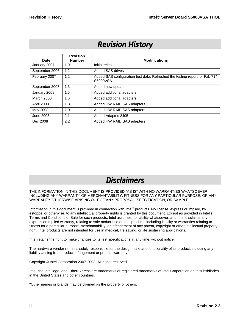# *Revision History*

| Date           | <b>Revision</b><br><b>Number</b> | <b>Modifications</b>                                                                    |
|----------------|----------------------------------|-----------------------------------------------------------------------------------------|
| January 2007   | 1.0                              | Initial release                                                                         |
| September 2006 | 1.2                              | Added SAS drives                                                                        |
| February 2007  | 1.2                              | Added SAS configuration test data. Refreshed the testing report for Fab 714<br>S5000VSA |
| September 2007 | 1.3                              | Added new updates                                                                       |
| January 2008   | 1.5                              | Added additional adapters                                                               |
| March 2008     | 1.6                              | Added additional adapters                                                               |
| April 2008     | 1.8                              | Added HW RAID SAS adapters                                                              |
| May 2008       | 2.0                              | Added HW RAID SAS adapters                                                              |
| June 2008      | 2.1                              | Added Adaptec 2405                                                                      |
| Dec 2008       | 2.2                              | Added HW RAID SAS adapters                                                              |

### *Disclaimers*

THE INFORMATION IN THIS DOCUMENT IS PROVIDED "AS IS" WITH NO WARRANTIES WHATSOEVER, INCLUDING ANY WARRANTY OF MERCHANTABILITY, FITNESS FOR ANY PARTICULAR PURPOSE, OR ANY WARRANTY OTHERWISE ARISING OUT OF ANY PROPOSAL, SPECIFICATION, OR SAMPLE.

Information in this document is provided in connection with Intel® products. No license, express or implied, by estoppel or otherwise, to any intellectual property rights is granted by this document. Except as provided in Intel's Terms and Conditions of Sale for such products, Intel assumes no liability whatsoever, and Intel disclaims any express or implied warranty, relating to sale and/or use of Intel products including liability or warranties relating to fitness for a particular purpose, merchantability, or infringement of any patent, copyright or other intellectual property right. Intel products are not intended for use in medical, life saving, or life sustaining applications.

Intel retains the right to make changes to its test specifications at any time, without notice.

The hardware vendor remains solely responsible for the design, sale and functionality of its product, including any liability arising from product infringement or product warranty.

Copyright © Intel Corporation 2007-2008. All rights reserved.

Intel, the Intel logo, and EtherExpress are trademarks or registered trademarks of Intel Corporation or its subsidiaries in the United States and other countries.

\*Other names or brands may be claimed as the property of others.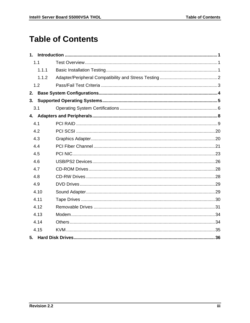# **Table of Contents**

|    | 1.1   |  |
|----|-------|--|
|    | 1.1.1 |  |
|    | 1.1.2 |  |
|    | 1.2   |  |
| 2. |       |  |
| 3. |       |  |
|    | 3.1   |  |
|    |       |  |
|    | 4.1   |  |
|    | 4.2   |  |
|    | 4.3   |  |
|    | 4.4   |  |
|    | 4.5   |  |
|    | 4.6   |  |
|    | 4.7   |  |
|    | 4.8   |  |
|    | 4.9   |  |
|    | 4.10  |  |
|    | 4.11  |  |
|    | 4.12  |  |
|    | 4.13  |  |
|    | 4.14  |  |
|    | 4.15  |  |
|    |       |  |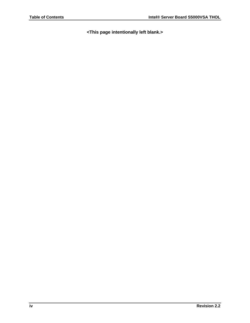**<This page intentionally left blank.>**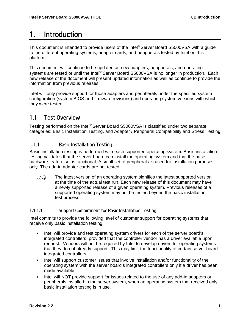# <span id="page-4-0"></span>1. Introduction

This document is intended to provide users of the Intel® Server Board S5000VSA with a guide to the different operating systems, adapter cards, and peripherals tested by Intel on this platform.

This document will continue to be updated as new adapters, peripherals, and operating systems are tested or until the Intel® Server Board S5000VSA is no longer in production. Each new release of the document will present updated information as well as continue to provide the information from previous releases.

Intel will only provide support for those adapters and peripherals under the specified system configuration (system BIOS and firmware revisions) and operating system versions with which they were tested.

#### <span id="page-4-1"></span>1.1 Test Overview

Testing performed on the Intel® Server Board S5000VSA is classified under two separate categories: Basic Installation Testing, and Adapter / Peripheral Compatibility and Stress Testing.

#### <span id="page-4-2"></span>1.1.1 Basic Installation Testing

Basic installation testing is performed with each supported operating system. Basic installation testing validates that the server board can install the operating system and that the base hardware feature set is functional. A small set of peripherals is used for installation purposes only. The add-in adapter cards are not tested.

 $\widehat{\mathbb{C}}$  The latest version of an operating system signifies the latest supported version at the time of the actual test run. Each new release of this document may have a newly supported release of a given operating system. Previous releases of a supported operating system may not be tested beyond the basic installation test process.

#### 1.1.1.1 Support Commitment for Basic Installation Testing

Intel commits to provide the following level of customer support for operating systems that receive only basic installation testing:

- Intel will provide and test operating system drivers for each of the server board's integrated controllers, provided that the controller vendor has a driver available upon request. Vendors will not be required by Intel to develop drivers for operating systems that they do not already support. This may limit the functionality of certain server board integrated controllers.
- Intel will support customer issues that involve installation and/or functionality of the operating system with the server board's integrated controllers only if a driver has been made available.
- Intel will NOT provide support for issues related to the use of any add-in adapters or peripherals installed in the server system, when an operating system that received only basic installation testing is in use.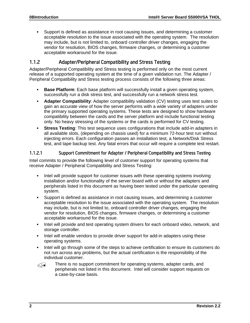Support is defined as assistance in root causing issues, and determining a customer acceptable resolution to the issue associated with the operating system. The resolution may include, but is not limited to, onboard controller driver changes, engaging the vendor for resolution, BIOS changes, firmware changes, or determining a customer acceptable workaround for the issue.

#### <span id="page-5-0"></span>1.1.2 Adapter/Peripheral Compatibility and Stress Testing

Adapter/Peripheral Compatibility and Stress testing is performed only on the most current release of a supported operating system at the time of a given validation run. The Adapter / Peripheral Compatibility and Stress testing process consists of the following three areas:

- **Base Platform**: Each base platform will successfully install a given operating system, successfully run a disk stress test, and successfully run a network stress test.
- **Adapter Compatibility**: Adapter compatibility validation (CV) testing uses test suites to gain an accurate view of how the server performs with a wide variety of adapters under the primary supported operating systems. These tests are designed to show hardware compatibility between the cards and the server platform and include functional testing only. No heavy stressing of the systems or the cards is performed for CV testing.
- **Stress Testing**: This test sequence uses configurations that include add-in adapters in all available slots, (depending on chassis used) for a minimum 72-hour test run without injecting errors. Each configuration passes an installation test, a Network/Disk Stress test, and tape backup test. Any fatal errors that occur will require a complete test restart.

#### 1.1.2.1 Support Commitment for Adapter / Peripheral Compatibility and Stress Testing

Intel commits to provide the following level of customer support for operating systems that receive Adapter / Peripheral Compatibility and Stress Testing:

- Intel will provide support for customer issues with these operating systems involving installation and/or functionality of the server board with or without the adapters and peripherals listed in this document as having been tested under the particular operating system.
- Support is defined as assistance in root causing issues, and determining a customer acceptable resolution to the issue associated with the operating system. The resolution may include, but is not limited to, onboard controller driver changes, engaging the vendor for resolution, BIOS changes, firmware changes, or determining a customer acceptable workaround for the issue.
- Intel will provide and test operating system drivers for each onboard video, network, and storage controller.
- Intel will enable vendors to provide driver support for add-in adapters using these operating systems.
- Intel will go through some of the steps to achieve certification to ensure its customers do not run across any problems, but the actual certification is the responsibility of the individual customer.

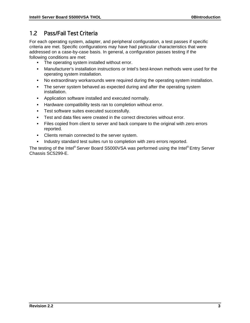#### <span id="page-6-0"></span>1.2 Pass/Fail Test Criteria

For each operating system, adapter, and peripheral configuration, a test passes if specific criteria are met. Specific configurations may have had particular characteristics that were addressed on a case-by-case basis. In general, a configuration passes testing if the following conditions are met:

- **The operating system installed without error.**
- Manufacturer's installation instructions or Intel's best-known methods were used for the operating system installation.
- No extraordinary workarounds were required during the operating system installation.
- The server system behaved as expected during and after the operating system installation.
- Application software installed and executed normally.
- **Hardware compatibility tests ran to completion without error.**
- **Test software suites executed successfully.**
- Test and data files were created in the correct directories without error.
- Files copied from client to server and back compare to the original with zero errors reported.
- **Clients remain connected to the server system.**
- Industry standard test suites run to completion with zero errors reported.

The testing of the Intel® Server Board S5000VSA was performed using the Intel® Entry Server Chassis SC5299-E.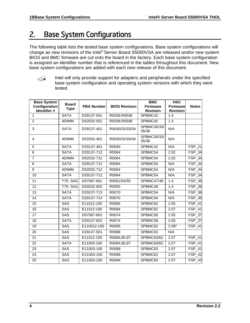# <span id="page-7-0"></span>2. Base System Configurations

The following table lists the tested base system configurations. Base system configurations will change as new revisions of the Intel® Server Board S5000VSA are released and/or new system BIOS and BMC firmware are cut onto the board in the factory. Each base system configuration is assigned an identifier number that is referenced in the tables throughout this document. New base system configurations are added with each new release of this document.



Intel will only provide support for adapters and peripherals under the specified base system configuration and operating system versions with which they were tested.

| <b>Base System</b>            | <b>Board</b>   |                   |                      | <b>BMC</b>                         | <b>HSC</b>                         |               |
|-------------------------------|----------------|-------------------|----------------------|------------------------------------|------------------------------------|---------------|
| Configuration<br>Identifier # | <b>Type</b>    | <b>PBA Number</b> | <b>BIOS Revision</b> | <b>Firmware</b><br><b>Revision</b> | <b>Firmware</b><br><b>Revision</b> | <b>Notes</b>  |
| 1                             | <b>SATA</b>    | D29137-501        | R0039,R0038          | SPBMC42                            | 1.4                                |               |
| $\overline{2}$                | 4DIMM          | D52032-501        | R0039, R0038         | SPBMC42                            | 1.4                                |               |
| 3                             | <b>SATA</b>    | D29137-401        | R0030/32/33/34       | SPBMC30/33/<br>35/38               | N/A                                |               |
| 4                             | 4DIMM          | D52032-401        | R0030/32/33/34       | SPBMC30/33/<br>35/38               | N/A                                |               |
| 5                             | <b>SATA</b>    | D29137-401        | R0040                | SPBMC42                            | N/A                                | <b>FSP_21</b> |
| 6                             | <b>SATA</b>    | D29137-712        | R0064                | SPBMC54                            | 2.02                               | <b>FSP_34</b> |
| $\overline{7}$                | 4DIMM          | D52032-712        | R0064                | SPBMC54                            | 2.02                               | FSP_34        |
| 8                             | <b>SATA</b>    | D29137-712        | R0064                | SPBMC54                            | N/A                                | FSP_34        |
| $\overline{9}$                | 4DIMM          | D52032-712        | R0064                | SPBMC54                            | N/A                                | <b>FSP_34</b> |
| 10                            | <b>SATA</b>    | D29137-712        | R0064                | SPBMC54                            | N/A                                | <b>FSP_34</b> |
| 11                            | <b>T75-SAS</b> | D57587-601        | R0051/54/55          | <b>SPBMC47/48</b>                  | 1.4                                | <b>FSP_36</b> |
| $\overline{12}$               | <b>T75-SAS</b> | D52032-602        | R0055                | SPBMC48                            | 1.4                                | <b>FSP_36</b> |
| 13                            | <b>SATA</b>    | D29137-713        | R0070                | SPBMC54                            | N/A                                | <b>FSP_36</b> |
| 14                            | <b>SATA</b>    | D29137-714        | R0070                | SPBMC54                            | N/A                                | FSP_36        |
| 15                            | SAS            | E11012-100        | R0084                | SPBMC62                            | 2.05                               | <b>FSP_41</b> |
| 16                            | <b>SAS</b>     | E11012-100        | R0084                | SPBMC62                            | 2.07                               | <b>FSP_41</b> |
| 17                            | SAS            | D57587-601        | R0074                | SPBMC58                            | 2.05                               | <b>FSP_37</b> |
| 18                            | <b>SATA</b>    | D29137-602        | R0074                | SPBMC58                            | 2.05                               | FSP_37        |
| 19                            | SAS            | E110012-100       | R0085                | SPBMC62                            | $2.08*$                            | <b>FSP_41</b> |
| 20                            | SAS            | D29137-501        | R0086                | SPBMC63                            | N/A                                |               |
| 21                            | <b>SAS</b>     | E11012-100        | R0084,85,87          | SPBMC63/62                         | 2.07                               | FSP_41        |
| $\overline{22}$               | <b>SATA</b>    | E11003-100        | R0084,85,87          | SPBMC63/62                         | 2.07                               | <b>FSP_41</b> |
| 23                            | SAS            | E11003-100        | R0088                | SPBMC63                            | 2.07                               | <b>FSP_41</b> |
| 24                            | SAS            | E11003-100        | R0088                | SPBMC62                            | 2.07                               | $FSP_42$      |
| 25                            | SAS            | E11003-100        | R0094                | SPBMC63                            | 2.07                               | <b>FSP_42</b> |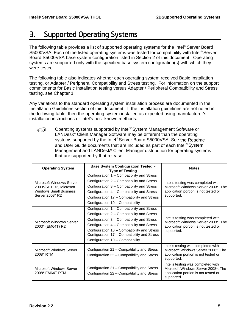# <span id="page-8-0"></span>3. Supported Operating Systems

The following table provides a list of supported operating systems for the Intel® Server Board S5000VSA. Each of the listed operating systems was tested for compatibility with Intel® Server Board S5000VSA base system configuration listed in Section 2 of this document. Operating systems are supported only with the specified base system configuration(s) with which they were tested.

The following table also indicates whether each operating system received Basic Installation testing, or Adapter / Peripheral Compatibility and Stress testing. For information on the support commitments for Basic Installation testing versus Adapter / Peripheral Compatibility and Stress testing, see Chapter [1.](#page-4-0)

Any variations to the standard operating system installation process are documented in the Installation Guidelines section of this document. If the installation guidelines are not noted in the following table, then the operating system installed as expected using manufacturer's installation instructions or Intel's best-known methods.

© Operating systems supported by Intel® System Management Software or LANDesk\* Client Manager Software may be different than the operating systems supported by the Intel® Server Board S5000VSA. See the Readme and User Guide documents that are included as part of each Intel® System Management and LANDesk\* Client Manager distribution for operating systems that are supported by that release.

| <b>Operating System</b>                                                                                 | <b>Base System Configuration Tested -</b><br><b>Type of Testing</b>                                                                                                                                                                                                                                                    | <b>Notes</b>                                                                                                                    |
|---------------------------------------------------------------------------------------------------------|------------------------------------------------------------------------------------------------------------------------------------------------------------------------------------------------------------------------------------------------------------------------------------------------------------------------|---------------------------------------------------------------------------------------------------------------------------------|
| Microsoft Windows Server<br>2003*/SP1 R2, Microsoft<br><b>Windows Small Business</b><br>Server 2003* R2 | Configuration 1 - Compatibility and Stress<br>Configuration 2 - Compatibility and Stress<br>Configuration 3 - Compatibility and Stress<br>Configuration 4 – Compatibility and Stress<br>Configuration 17 - Compatibility and Stress<br>Configuration 19 - Compatibility                                                | Intel's testing was completed with<br>Microsoft Windows Server 2003*, The<br>application portion is not tested or<br>supported. |
| Microsoft Windows Server<br>2003* (EM64T) R2                                                            | Configuration 1 – Compatibility and Stress<br>Configuration 2 - Compatibility and Stress<br>Configuration 3 - Compatibility and Stress<br>Configuration 4 – Compatibility and Stress<br>Configuration 16 - Compatibility and Stress<br>Configuration 17 - Compatibility and Stress<br>Configuration 19 - Compatibility | Intel's testing was completed with<br>Microsoft Windows Server 2003*, The<br>application portion is not tested or<br>supported. |
| Microsoft Windows Server<br>2008* RTM                                                                   | Configuration 21 - Compatibility and Stress<br>Configuration 22 - Compatibility and Stress                                                                                                                                                                                                                             | Intel's testing was completed with<br>Microsoft Windows Server 2008*, The<br>application portion is not tested or<br>supported. |
| Microsoft Windows Server<br>2008* EM64T RTM                                                             | Configuration 21 – Compatibility and Stress<br>Configuration 22 - Compatibility and Stress                                                                                                                                                                                                                             | Intel's testing was completed with<br>Microsoft Windows Server 2008*. The<br>application portion is not tested or<br>supported. |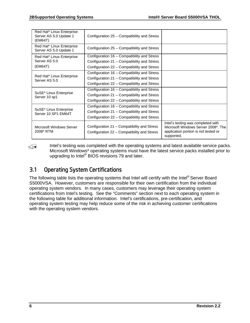| Red Hat* Linux Enterprise<br>Server AS 5.0 Update 1<br>(EM64T) | Configuration 25 – Compatibility and Stress                                                |                                                                                                                                 |
|----------------------------------------------------------------|--------------------------------------------------------------------------------------------|---------------------------------------------------------------------------------------------------------------------------------|
| Red Hat* Linux Enterprise<br>Server AS 5.0 Update 1            | Configuration 25 - Compatibility and Stress                                                |                                                                                                                                 |
| Red Hat* Linux Enterprise                                      | Configuration 16 – Compatibility and Stress                                                |                                                                                                                                 |
| Server AS 5.0                                                  | Configuration 21 – Compatibility and Stress                                                |                                                                                                                                 |
| (EM64T)                                                        | Configuration 22 – Compatibility and Stress                                                |                                                                                                                                 |
|                                                                | Configuration 16 – Compatibility and Stress                                                |                                                                                                                                 |
| Red Hat* Linux Enterprise<br>Server AS 5.0                     | Configuration 21 – Compatibility and Stress                                                |                                                                                                                                 |
|                                                                | Configuration 22 – Compatibility and Stress                                                |                                                                                                                                 |
|                                                                | Configuration 16 – Compatibility and Stress                                                |                                                                                                                                 |
| SuSE* Linux Enterprise<br>Server 10 sp1                        | Configuration 21 – Compatibility and Stress                                                |                                                                                                                                 |
|                                                                | Configuration 22 – Compatibility and Stress                                                |                                                                                                                                 |
|                                                                | Configuration 16 – Compatibility and Stress                                                |                                                                                                                                 |
| SuSE* Linux Enterprise<br>Server 10 SP1 EM64T                  | Configuration 21 – Compatibility and Stress                                                |                                                                                                                                 |
|                                                                | Configuration 22 – Compatibility and Stress                                                |                                                                                                                                 |
| Microsoft Windows Server<br>2008* RTM                          | Configuration 21 – Compatibility and Stress<br>Configuration 22 – Compatibility and Stress | Intel's testing was completed with<br>Microsoft Windows Server 2008*. The<br>application portion is not tested or<br>supported. |

Intel's testing was completed with the operating systems and latest available service packs. Microsoft Windows\* operating systems must have the latest service packs installed prior to upgrading to Intel® BIOS revisions 79 and later.

#### <span id="page-9-0"></span>3.1 Operating System Certifications

The following table lists the operating systems that Intel will certify with the Intel® Server Board S5000VSA. However, customers are responsible for their own certification from the individual operating system vendors. In many cases, customers may leverage their operating system certifications from Intel's testing. See the "Comments" section next to each operating system in the following table for additional information. Intel's certifications, pre-certification, and operating system testing may help reduce some of the risk in achieving customer certifications with the operating system vendors.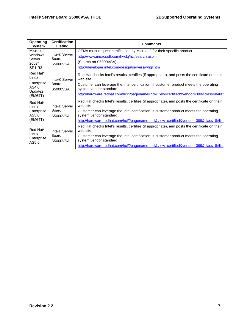| <b>Operating</b><br><b>System</b> | <b>Certification</b><br>Listing    | <b>Comments</b>                                                                                                   |
|-----------------------------------|------------------------------------|-------------------------------------------------------------------------------------------------------------------|
| Microsoft                         |                                    | OEMs must request certification by Microsoft for their specific product.                                          |
| <b>Windows</b><br>Server          | Intel <sup>®</sup> Server<br>Board | http://www.microsoft.com/hwdq/hcl/search.asp                                                                      |
| 2003*                             | S5000VSA                           | (Search on S5000VSA)                                                                                              |
| <b>SP1 R2</b>                     |                                    | http://developer.intel.com/design/servers/whgl.htm                                                                |
| Red Hat*<br>Linux                 | Intel® Server                      | Red Hat checks Intel's results, certifies (if appropriate), and posts the certificate on their<br>web site.       |
| Enterprise<br>AS4.0               | Board<br>S5000VSA                  | Customer can leverage the Intel certification, if customer product meets the operating<br>system vendor standard. |
| Update2<br>(EM64T)                |                                    | http://hardware.redhat.com/hcl/?pagename=hcl&view=certified&vendor=399&class=8#list                               |
| Red Hat*<br>Linux                 | Intel® Server                      | Red Hat checks Intel's results, certifies (if appropriate), and posts the certificate on their<br>web site.       |
| Enterprise<br>AS5.0               | Board<br>S5000VSA                  | Customer can leverage the Intel certification, if customer product meets the operating<br>system vendor standard. |
| (EM64T)                           |                                    | http://hardware.redhat.com/hcl/?pagename=hcl&view=certified&vendor=399&class=8#list                               |
| Red Hat*                          | Intel <sup>®</sup> Server          | Red Hat checks Intel's results, certifies (if appropriate), and posts the certificate on their<br>web site.       |
| Linux<br>Enterprise<br>AS5.0      | Board<br>S5000VSA                  | Customer can leverage the Intel certification, if customer product meets the operating<br>system vendor standard. |
|                                   |                                    | http://hardware.redhat.com/hcl/?pagename=hcl&view=certified&vendor=399&class=8#list                               |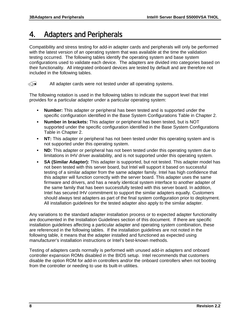## <span id="page-11-0"></span>4. Adapters and Peripherals

Compatibility and stress testing for add-in adapter cards and peripherals will only be performed with the latest version of an operating system that was available at the time the validation testing occurred. The following tables identify the operating system and base system configurations used to validate each device. The adapters are divided into categories based on their functionality. All integrated onboard devices are tested by default and are therefore not included in the following tables.

 $\widehat{\triangleleft}$  All adapter cards were not tested under all operating systems.

The following notation is used in the following tables to indicate the support level that Intel provides for a particular adapter under a particular operating system:

- **Number:** This adapter or peripheral has been tested and is supported under the specific configuration identified in the Base System Configurations Table in Chapter [2](#page-7-0).
- **Number in brackets:** This adapter or peripheral has been tested, but is NOT supported under the specific configuration identified in the Base System Configurations Table in Chapter [2.](#page-7-0)
- **NT:** This adapter or peripheral has not been tested under this operating system and is not supported under this operating system.
- **ND:** This adapter or peripheral has not been tested under this operating system due to limitations in IHV driver availability, and is not supported under this operating system.
- **SA (Similar Adapter):** This adapter is supported, but not tested. This adapter model has not been tested with this server board, but Intel will support it based on successful testing of a similar adapter from the same adapter family. Intel has high confidence that this adapter will function correctly with the server board. This adapter uses the same firmware and drivers, and has a nearly identical system interface to another adapter of the same family that has been successfully tested with this server board. In addition, Intel has secured IHV commitment to support the similar adapters equally. Customers should always test adapters as part of the final system configuration prior to deployment. All installation guidelines for the tested adapter also apply to the similar adapter.

Any variations to the standard adapter installation process or to expected adapter functionality are documented in the Installation Guidelines section of this document. If there are specific installation guidelines affecting a particular adapter and operating system combination, these are referenced in the following tables. If the installation guidelines are not noted in the following table, it means that the adapter installed and functioned as expected using manufacturer's installation instructions or Intel's best-known methods.

Testing of adapters cards normally is performed with unused add-in adapters and onboard controller expansion ROMs disabled in the BIOS setup. Intel recommends that customers disable the option ROM for add-in controllers and/or the onboard controllers when not booting from the controller or needing to use its built-in utilities.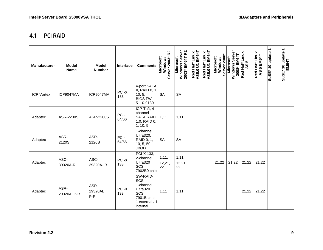#### 4.1 PCI RAID

<span id="page-12-0"></span>

| <b>Manufacturer</b> | <b>Model</b><br><b>Name</b> | <b>Model</b><br><b>Number</b> | Interface     | <b>Comments</b>                                                                                 | R <sub>2</sub><br>Server 2003*<br><b>Microsoft</b><br>Windows | Windows Server<br>2003* EM64T R2<br><b>Microsoft</b> | EM64T<br>Red Hat* Linux<br>AS5.0 U1 EM64T | Red Hat* Linux<br>AS5.0 U1 EM64T<br>AS5.0 U1 | Server 2008*<br>Microsoft<br>Windows | Server<br>2008* EM64T<br>Microsoft<br>Windows | Red Hat* Linux<br><b>LC</b><br>QS | Red Hat* Linux<br>AS 5 EM64T | SuSE* 10 update 1 | SuSE* 10 update 1<br>EM64T |
|---------------------|-----------------------------|-------------------------------|---------------|-------------------------------------------------------------------------------------------------|---------------------------------------------------------------|------------------------------------------------------|-------------------------------------------|----------------------------------------------|--------------------------------------|-----------------------------------------------|-----------------------------------|------------------------------|-------------------|----------------------------|
| <b>ICP Vortex</b>   | ICP9047MA                   | ICP9047MA                     | PCI-X<br>133  | 4-port SATA<br>II, RAID 0, 1,<br>10, 5,<br><b>BIOS FW</b><br>5.1.0-9130                         | <b>SA</b>                                                     | <b>SA</b>                                            |                                           |                                              |                                      |                                               |                                   |                              |                   |                            |
| Adaptec             | ASR-2200S                   | ASR-2200S                     | PCI-<br>64/66 | ICP-Taft, 4-<br>channel<br><b>SATA RAID</b><br>1.0, RAID 0,<br>1, 10, 5                         | 1,11                                                          | 1,11                                                 |                                           |                                              |                                      |                                               |                                   |                              |                   |                            |
| Adaptec             | ASR-<br>2120S               | ASR-<br>2120S                 | PCI-<br>64/66 | 1-channel<br>Ultra320,<br>RAID 0, 1,<br>10, 5, 50,<br><b>JBOD</b>                               | <b>SA</b>                                                     | <b>SA</b>                                            |                                           |                                              |                                      |                                               |                                   |                              |                   |                            |
| Adaptec             | ASC-<br>39320A-R            | ASC-<br>39320A-R              | PCI-X<br>133  | PCI-X 133,<br>2-channel<br>Ultra320<br>SCSI,<br>7902B0 chip                                     | 1, 11,<br>12,21,<br>22                                        | 1, 11,<br>12,21,<br>22                               |                                           |                                              | 21,22                                | 21,22                                         | 21,22                             | 21,22                        |                   |                            |
| Adaptec             | ASR-<br>29320ALP-R          | ASR-<br>29320AL<br>$P-R$      | PCI-X<br>133  | SW-RAID-<br>SCSI,<br>1-channel<br>Ultra320<br>SCSI,<br>7901B chip<br>1 external / 1<br>internal | 1,11                                                          | 1,11                                                 |                                           |                                              |                                      |                                               | 21,22                             | 21,22                        |                   |                            |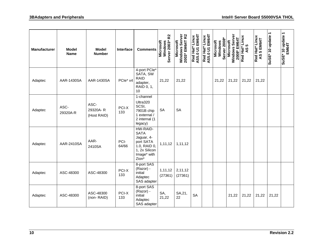| <b>Manufacturer</b> | <b>Model</b><br><b>Name</b> | <b>Model</b><br><b>Number</b>   | Interface     | <b>Comments</b>                                                                                             | R <sub>2</sub><br>Server 2003*<br><b>Microsoft</b><br>Windows | Windows Server<br>2003* EM64T R2<br>Microsoft | Red Hat* Linux<br>AS5.0 U1 EM64T | AS5.0 U1 EM64T<br>Red Hat* Linux | Windows<br>Server 2008*<br><b>Microsoft</b> | Windows Server<br>2008* EM64T<br>Microsoft | Red Hat* Linux<br>$\mathfrak{g}$<br>$\overline{4}$ | Red Hat* Linux<br>AS 5 EM64T | SuSE* 10 update 1 | SuSE* 10 update 1<br>EM64T |
|---------------------|-----------------------------|---------------------------------|---------------|-------------------------------------------------------------------------------------------------------------|---------------------------------------------------------------|-----------------------------------------------|----------------------------------|----------------------------------|---------------------------------------------|--------------------------------------------|----------------------------------------------------|------------------------------|-------------------|----------------------------|
| Adaptec             | AAR-1430SA                  | AAR-1430SA                      | PCle* x4      | 4-port PCle*<br>SATA, SW<br><b>RAID</b><br>adapter,<br>RAID 0, 1,<br>10                                     | 21,22                                                         | 21,22                                         |                                  |                                  | 21,22                                       | 21,22                                      | 21,22                                              | 21,22                        |                   |                            |
| Adaptec             | ASC-<br>29320A-R            | ASC-<br>29320A-R<br>(Host RAID) | PCI-X<br>133  | 1-channel<br>Ultra320<br>SCSI,<br>7901B chip<br>1 external /<br>2 internal (1<br>legacy)                    | <b>SA</b>                                                     | <b>SA</b>                                     |                                  |                                  |                                             |                                            |                                                    |                              |                   |                            |
| Adaptec             | AAR-2410SA                  | AAR-<br>2410SA                  | PCI-<br>64/66 | HW-RAID-<br><b>SATA</b><br>Jaguar, 4-<br>port SATA<br>1.0, RAID 0,<br>1, 2x Silicon<br>Image* with<br>Zion* | 1,11,12                                                       | 1,11,12                                       |                                  |                                  |                                             |                                            |                                                    |                              |                   |                            |
| Adaptec             | ASC-48300                   | ASC-48300                       | PCI-X<br>133  | 8-port SAS<br>(Razor) -<br>initial<br>Adaptec<br>SAS adapter                                                | 1,11,12<br>(27361)                                            | 2,11,12<br>(27361)                            |                                  |                                  |                                             |                                            |                                                    |                              |                   |                            |
| Adaptec             | ASC-48300                   | ASC-48300<br>(non-RAID)         | PCI-X<br>133  | 8-port SAS<br>(Razor) -<br>initial<br>Adaptec<br>SAS adapter                                                | SA,<br>21,22                                                  | SA, 21,<br>22                                 | <b>SA</b>                        |                                  |                                             | 21,22                                      | 21,22                                              | 21,22                        | 21,22             |                            |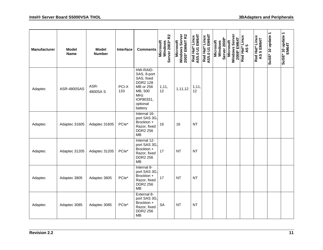| <b>Manufacturer</b> | <b>Model</b><br><b>Name</b> | <b>Model</b><br><b>Number</b> | Interface    | <b>Comments</b>                                                                                                                    | R <sub>2</sub><br>Server 2003*<br>Microsoft<br>Windows | Windows Server<br>2003* EM64T R2<br>Microsoft | Red Hat* Linux<br>AS5.0 U1 EM64T | Red Hat* Linux<br>AS5.0 U1 EM64T | Server 2008*<br><b>Microsoft</b><br>Windows | Windows Server<br>2008* EM64T<br>Microsoft | Red Hat* Linux<br><u> In</u><br>$\frac{8}{3}$ | Red Hat* Linux<br>AS 5 EM64T | $\overline{\phantom{0}}$<br>SuSE* 10 update | EM64T<br>EM64T<br>SuSE* 10 update 1 |
|---------------------|-----------------------------|-------------------------------|--------------|------------------------------------------------------------------------------------------------------------------------------------|--------------------------------------------------------|-----------------------------------------------|----------------------------------|----------------------------------|---------------------------------------------|--------------------------------------------|-----------------------------------------------|------------------------------|---------------------------------------------|-------------------------------------|
| Adaptec             | ASR-4800SAS                 | ASR-<br>4800SA S              | PCI-X<br>133 | HW-RAID-<br>SAS, 8-port<br>SAS, fixed<br><b>DDR2 128</b><br>MB or 256<br>MB, 500<br><b>MHz</b><br>IOP80331,<br>optional<br>battery | 1, 11,<br>12                                           | 1,11,12                                       | 1, 11,<br>12                     |                                  |                                             |                                            |                                               |                              |                                             |                                     |
| Adaptec             | Adaptec 31605               | Adaptec 31605                 | PCle*        | Internal 16-<br>port SAS 3G,<br>Brockton +<br>Razor, fixed<br><b>DDR2 256</b><br><b>MB</b>                                         | 16                                                     | 16                                            | <b>NT</b>                        |                                  |                                             |                                            |                                               |                              |                                             |                                     |
| Adaptec             | Adaptec 31205               | Adaptec 31205                 | PCle*        | Internal 12-<br>port SAS 3G,<br>Brockton +<br>Razor, fixed<br><b>DDR2 256</b><br><b>MB</b>                                         | 17                                                     | <b>NT</b>                                     | <b>NT</b>                        |                                  |                                             |                                            |                                               |                              |                                             |                                     |
| Adaptec             | Adaptec 3805                | Adaptec 3805                  | PCle*        | Internal 8-<br>port SAS 3G,<br>Brockton +<br>Razor, fixed<br><b>DDR2 256</b><br><b>MB</b>                                          | 17                                                     | <b>NT</b>                                     | <b>NT</b>                        |                                  |                                             |                                            |                                               |                              |                                             |                                     |
| Adaptec             | Adaptec 3085                | Adaptec 3085                  | PCle*        | External 8-<br>port SAS 3G,<br>Brockton +<br>Razor, fixed<br><b>DDR2 256</b><br><b>MB</b>                                          | <b>SA</b>                                              | <b>NT</b>                                     | <b>NT</b>                        |                                  |                                             |                                            |                                               |                              |                                             |                                     |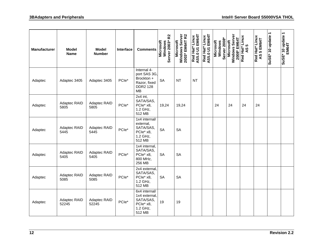| <b>Manufacturer</b> | Model<br><b>Name</b>  | <b>Model</b><br><b>Number</b> | <b>Interface</b> | <b>Comments</b>                                                                    | R <sub>2</sub><br>Windows<br>Server 2003* F<br><b>Microsoft</b> | Windows Server<br>2003* EM64T R2<br>Microsoft | Red Hat* Linux<br>AS5.0 U1 EM64T | AS5.0 U1 EM64T<br>Red Hat* Linux | Server 2008*<br>Microsoft<br>Windows | Windows Server<br>2008* EM64T<br>Microsoft | Red Hat* Linux<br><b>LC</b><br>$\overline{3}$ | <b>Red Hat* Linux<br/>AS 5 EM64T</b> | SuSE* 10 update 1 | SuSE* 10 update 1<br>EM64T |
|---------------------|-----------------------|-------------------------------|------------------|------------------------------------------------------------------------------------|-----------------------------------------------------------------|-----------------------------------------------|----------------------------------|----------------------------------|--------------------------------------|--------------------------------------------|-----------------------------------------------|--------------------------------------|-------------------|----------------------------|
| Adaptec             | Adaptec 3405          | Adaptec 3405                  | PCle*            | Internal 4-<br>port SAS 3G,<br>Brockton +<br>Razor, fixed<br><b>DDR2 128</b><br>MB | <b>SA</b>                                                       | <b>NT</b>                                     | <b>NT</b>                        |                                  |                                      |                                            |                                               |                                      |                   |                            |
| Adaptec             | Adaptec RAID<br>5805  | Adaptec RAID<br>5805          | PCle*            | 2x4 int,<br>SATA/SAS,<br>PCle* x8,<br>1.2 GHz,<br>512 MB                           | 19,24                                                           | 19,24                                         |                                  |                                  | 24                                   | 24                                         | 24                                            | 24                                   |                   |                            |
| Adaptec             | Adaptec RAID<br>5445  | Adaptec RAID<br>5445          | PCle*            | 1x4 internal/<br>external,<br>SATA/SAS,<br>PCle* x8,<br>1.2 GHz,<br>512 MB         | <b>SA</b>                                                       | <b>SA</b>                                     |                                  |                                  |                                      |                                            |                                               |                                      |                   |                            |
| Adaptec             | Adaptec RAID<br>5405  | Adaptec RAID<br>5405          | PCle*            | 1x4 internal,<br>SATA/SAS,<br>PCle* x8,<br>800 MHz,<br>256 MB                      | <b>SA</b>                                                       | <b>SA</b>                                     |                                  |                                  |                                      |                                            |                                               |                                      |                   |                            |
| Adaptec             | Adaptec RAID<br>5085  | Adaptec RAID<br>5085          | PCle*            | 2x4 external,<br>SATA/SAS,<br>PCle* x8,<br>1.2 GHz,<br>512 MB                      | <b>SA</b>                                                       | <b>SA</b>                                     |                                  |                                  |                                      |                                            |                                               |                                      |                   |                            |
| Adaptec             | Adaptec RAID<br>52245 | Adaptec RAID<br>52245         | PCle*            | 6x4 internal/<br>1x4 external,<br>SATA/SAS,<br>PCle* x8,<br>1.2 GHz,<br>512 MB     | 19                                                              | 19                                            |                                  |                                  |                                      |                                            |                                               |                                      |                   |                            |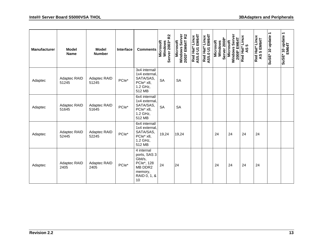| <b>Manufacturer</b> | <b>Model</b><br><b>Name</b> | <b>Model</b><br><b>Number</b> | <b>Interface</b>  | <b>Comments</b>                                                                                 | R <sub>2</sub><br>Windows<br>Server 2003* I<br>Microsoft | Windows Server<br>2003* EM64T R2<br>Microsoft | EM64T<br>Red Hat* Linux<br>AS5.0 U1 | EM64T<br>Red Hat* Linux<br>AS5.0 U1 | <b>Server 2008*</b><br><b>Microsoft</b><br>Windows | Windows Server<br>2008* EM64T<br>Microsoft | Red Hat* Linux<br>AS 5 | Red Hat* Linux<br>AS 5 EM64T | $\overline{\phantom{0}}$<br>SuSE* 10 update | SuSE* 10 update 1<br>EM64T |
|---------------------|-----------------------------|-------------------------------|-------------------|-------------------------------------------------------------------------------------------------|----------------------------------------------------------|-----------------------------------------------|-------------------------------------|-------------------------------------|----------------------------------------------------|--------------------------------------------|------------------------|------------------------------|---------------------------------------------|----------------------------|
| Adaptec             | Adaptec RAID<br>51245       | Adaptec RAID<br>51245         | PCle*             | 3x4 internal/<br>1x4 external,<br>SATA/SAS,<br>PCle* x8,<br>1.2 GHz,<br>512 MB                  | <b>SA</b>                                                | <b>SA</b>                                     |                                     |                                     |                                                    |                                            |                        |                              |                                             |                            |
| Adaptec             | Adaptec RAID<br>51645       | Adaptec RAID<br>51645         | PCle <sup>*</sup> | 6x4 internal/<br>1x4 external,<br>SATA/SAS,<br>PCle* x8,<br>1.2 GHz,<br>512 MB                  | <b>SA</b>                                                | <b>SA</b>                                     |                                     |                                     |                                                    |                                            |                        |                              |                                             |                            |
| Adaptec             | Adaptec RAID<br>52445       | Adaptec RAID<br>52245         | PCle*             | 6x4 internal/<br>1x4 external,<br>SATA/SAS,<br>PCle* x8,<br>1.2 GHz,<br>512 MB                  | 19,24                                                    | 19,24                                         |                                     |                                     | 24                                                 | 24                                         | 24                     | 24                           |                                             |                            |
| Adaptec             | Adaptec RAID<br>2405        | Adaptec RAID<br>2405          | PCle*             | 4 internal<br>ports, SAS 3<br>Gbit/s,<br>PCle*, 128<br>MB DDR2<br>memory,<br>RAID 0, 1, &<br>10 | 24                                                       | 24                                            |                                     |                                     | 24                                                 | 24                                         | 24                     | 24                           |                                             |                            |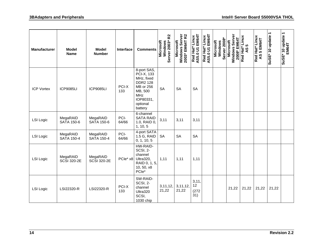| <b>Manufacturer</b> | <b>Model</b><br><b>Name</b>    | <b>Model</b><br><b>Number</b>  | Interface     | <b>Comments</b>                                                                                                               | R <sub>2</sub><br>Windows<br>Server 2003* F<br>Microsoft | Windows Server<br>2003* EM64T R2<br>Microsoft | Red Hat* Linux<br>AS5.0 U1 EM64T<br>AS5.0 U1 | Red Hat* Linux<br>AS5.0 U1 EM64T<br>AS5.0 U1 | Server 2008*<br>Microsoft<br>Windows | Windows Server<br>2008* EM64T<br>Microsoft | Red Hat* Linux<br>AS 5 | Red Hat* Linux<br>AS 5 EM64T | SuSE* 10 update 1 | SuSE* 10 update 1<br>EM64T |
|---------------------|--------------------------------|--------------------------------|---------------|-------------------------------------------------------------------------------------------------------------------------------|----------------------------------------------------------|-----------------------------------------------|----------------------------------------------|----------------------------------------------|--------------------------------------|--------------------------------------------|------------------------|------------------------------|-------------------|----------------------------|
| <b>ICP Vortex</b>   | <b>ICP9085LI</b>               | <b>ICP9085LI</b>               | PCI-X<br>133  | 8-port SAS,<br>PCI-X, 133<br>MHz, fixed<br><b>DDR2 128</b><br>MB or 256<br>MB, 500<br>MHz<br>IOP80331,<br>optional<br>battery | <b>SA</b>                                                | <b>SA</b>                                     | <b>SA</b>                                    |                                              |                                      |                                            |                        |                              |                   |                            |
| <b>LSI Logic</b>    | MegaRAID<br><b>SATA 150-6</b>  | MegaRAID<br><b>SATA 150-6</b>  | PCI-<br>64/66 | 6-channel<br><b>SATA RAID</b><br>1.0, RAID 0,<br>1, 10, 5                                                                     | 3,11                                                     | 3,11                                          | 3,11                                         |                                              |                                      |                                            |                        |                              |                   |                            |
| <b>LSI Logic</b>    | MegaRAID<br><b>SATA 150-4</b>  | MegaRAID<br><b>SATA 150-4</b>  | PCI-<br>64/66 | 4-port SATA<br>1.5 G, RAID<br>0, 1, 10, 5                                                                                     | <b>SA</b>                                                | <b>SA</b>                                     | <b>SA</b>                                    |                                              |                                      |                                            |                        |                              |                   |                            |
| <b>LSI Logic</b>    | MegaRAID<br><b>SCSI 320-2E</b> | MegaRAID<br><b>SCSI 320-2E</b> | PCle* x8      | HW-RAID-<br>SCSI, 2-<br>channel<br>Ultra320,<br>RAID 0, 1, 5,<br>10, 50, x8<br>PCle*                                          | 1,11                                                     | 1,11                                          | 1,11                                         |                                              |                                      |                                            |                        |                              |                   |                            |
| <b>LSI Logic</b>    | LSI22320-R                     | LSI22320-R                     | PCI-X<br>133  | SW-RAID-<br>SCSI, 2-<br>channel<br>Ultra320<br>SCSI,<br>1030 chip                                                             | 3, 11, 12,<br>21,22                                      | 3, 11, 12,<br>21,22                           | 3, 11,<br>12<br>(272)<br>31)                 |                                              |                                      | 21,22                                      | 21,22                  | 21,22                        | 21,22             |                            |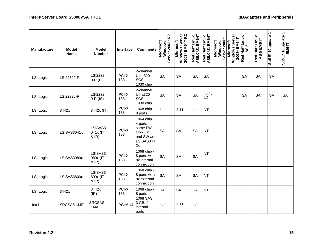| <b>Manufacturer</b> | <b>Model</b><br><b>Name</b> | <b>Model</b><br><b>Number</b> | Interface    | <b>Comments</b>                                                                | R <sub>2</sub><br>Server 2003*<br>Microsoft<br>Windows | Windows Server<br>2003* EM64T R2<br><b>Microsoft</b> | Red Hat* Linux<br>AS5.0 U1 EM64T<br>AS5.0 U1 | AS5.0 U1 EM64T<br>Red Hat* Linux | Windows<br>Server 2008*<br><b>Microsoft</b> | Windows Server<br>2008* EM64T<br>Microsoft | Red Hat* Linux<br><b>LC</b><br>$\overline{6}$ | <b>Red Hat* Linux</b><br>AS 5 EM64T | SuSE* 10 update 1 | SuSE* 10 update 1<br>EM64T |
|---------------------|-----------------------------|-------------------------------|--------------|--------------------------------------------------------------------------------|--------------------------------------------------------|------------------------------------------------------|----------------------------------------------|----------------------------------|---------------------------------------------|--------------------------------------------|-----------------------------------------------|-------------------------------------|-------------------|----------------------------|
| <b>LSI Logic</b>    | LSI22320-R                  | <b>LSI2232</b><br>$0-R$ (IT)  | PCI-X<br>133 | 2-channel<br>Ultra320<br>SCSI,<br>1030 chip                                    | <b>SA</b>                                              | <b>SA</b>                                            | <b>SA</b>                                    | <b>SA</b>                        |                                             |                                            | <b>SA</b>                                     | <b>SA</b>                           | SA                |                            |
| <b>LSI Logic</b>    | LSI22320-R                  | LSI2232<br>$0-R$ (IS)         | PCI-X<br>133 | 2-channel<br>Ultra320<br>SCSI,<br>1030 chip                                    | <b>SA</b>                                              | <b>SA</b>                                            | <b>SA</b>                                    | 1,11,<br>12                      |                                             |                                            | <b>SA</b>                                     | <b>SA</b>                           | <b>SA</b>         | <b>SA</b>                  |
| <b>LSI Logic</b>    | 3442x                       | 3442x (IT)                    | PCI-X<br>133 | 1068 chip -<br>8 ports                                                         | 1,11                                                   | 2,11                                                 | 1,11                                         | <b>NT</b>                        |                                             |                                            |                                               |                                     |                   |                            |
| <b>LSI Logic</b>    | LSISAS3041x                 | LSISAS3<br>041x (IT<br>& IR)  | PCI-X<br>133 | 1064 chip -<br>4 ports -<br>same FW,<br>OpROM,<br>and SW as<br>LSISAS344<br>2x | <b>SA</b>                                              | <b>SA</b>                                            | <b>SA</b>                                    | <b>NT</b>                        |                                             |                                            |                                               |                                     |                   |                            |
| LSI Logic           | LSISAS3080x                 | LSISAS3<br>080x (IT<br>& IR)  | PCI-X<br>133 | 1068 chip -<br>8 ports with<br>8x internal<br>connection                       | <b>SA</b>                                              | <b>SA</b>                                            | <b>SA</b>                                    | <b>NT</b>                        |                                             |                                            |                                               |                                     |                   |                            |
| <b>LSI Logic</b>    | LSISAS3800x                 | LSISAS3<br>800x (IT<br>& IR)  | PCI-X<br>133 | 1068 chip -<br>8 ports with<br>8x external<br>connection                       | <b>SA</b>                                              | <b>SA</b>                                            | <b>SA</b>                                    | <b>NT</b>                        |                                             |                                            |                                               |                                     |                   |                            |
| <b>LSI Logic</b>    | 3442x                       | 3442x<br>(IR)                 | PCI-X<br>133 | 1068 chip -<br>8 ports                                                         | SA                                                     | SA                                                   | <b>SA</b>                                    | <b>NT</b>                        |                                             |                                            |                                               |                                     |                   |                            |
| Intel               | SRCSAS144E                  | <b>SRCSAS</b><br>144E         | PCle* x4     | 1068 SAS<br>3 GB, 4<br>internal<br>ports                                       | 1,11                                                   | 1,11                                                 | 1,11                                         |                                  |                                             |                                            |                                               |                                     |                   |                            |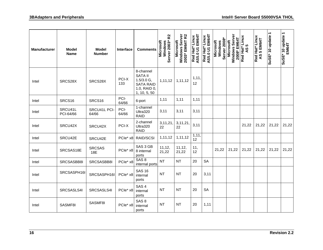| <b>Manufacturer</b> | <b>Model</b><br><b>Name</b> | <b>Model</b><br><b>Number</b> | Interface     | <b>Comments</b>                                                                                 | Windows<br>Server 2003* R2<br><b>Microsoft</b> | Windows Server<br>2003* EM64T R2<br>Microsoft | Red Hat* Linux<br>AS5.0 U1 EM64T<br>AS5.0 U1 | Red Hat* Linux<br>AS5.0 U1 EM64T | <b>Server 2008*</b><br><b>Microsoft</b><br>Windows | Windows Server<br>2008* EM64T<br>Microsoft | <b>Red Hat* Linux<br/>AS 5</b> | Red Hat* Linux<br>AS 5 EM64T | SuSE* 10 update 1 | SuSE* 10 update 1<br>EM64T |
|---------------------|-----------------------------|-------------------------------|---------------|-------------------------------------------------------------------------------------------------|------------------------------------------------|-----------------------------------------------|----------------------------------------------|----------------------------------|----------------------------------------------------|--------------------------------------------|--------------------------------|------------------------------|-------------------|----------------------------|
| Intel               | SRCS28X                     | SRCS28X                       | PCI-X<br>133  | 8-channel<br><b>SATA II</b><br>$1.5/3.0$ G,<br><b>SATA RAID</b><br>1.0, RAID 0,<br>1, 10, 5, 50 | 1,11,12                                        | 1,11,12                                       | 1, 11,<br>12                                 |                                  |                                                    |                                            |                                |                              |                   |                            |
| Intel               | SRCS16                      | SRCS16                        | PCI-<br>64/66 | 6-port                                                                                          | 1,11                                           | 1,11                                          | 1,11                                         |                                  |                                                    |                                            |                                |                              |                   |                            |
| Intel               | SRCU41L<br>PCI-64/66        | SRCU41L PCI-<br>64/66         | PCI-<br>64/66 | 1-channel<br>Ultra320<br><b>RAID</b>                                                            | 3,11                                           | 3,11                                          | 3,11                                         |                                  |                                                    |                                            |                                |                              |                   |                            |
| Intel               | SRCU42X                     | SRCU42X                       | PCI-X         | 2-channel<br>Ultra320<br><b>RAID</b>                                                            | 3, 11, 21,<br>22                               | 3,11,21<br>22                                 | 3,11                                         |                                  |                                                    |                                            | 21,22                          | 21,22                        | 21,22             | 21,22                      |
| Intel               | SRCU42E                     | SRCU42E                       | PCle* x8      | RAID/SCSI                                                                                       | 1,11,12                                        | 1,11,12                                       | 1, 11,<br>12                                 |                                  |                                                    |                                            |                                |                              |                   |                            |
| Intel               | SRCSAS18E                   | <b>SRCSAS</b><br>18E          | PCle* x8      | SAS 3 GB<br>8 internal<br>ports                                                                 | 11, 12,<br>21,22                               | 11, 12,<br>21,22                              | 11,<br>12                                    |                                  | 21,22                                              | 21,22                                      | 21,22                          | 21,22                        | 21,22             | 21,22                      |
| Intel               | SRCSASBB8I                  | SRCSASBB8I                    | PCle* x8      | SAS <sub>8</sub><br>internal ports                                                              | <b>NT</b>                                      | <b>NT</b>                                     | 20                                           | <b>SA</b>                        |                                                    |                                            |                                |                              |                   |                            |
| Intel               | SRCSASPH16I                 | SRCSASPH16I                   | PCle* x8      | <b>SAS 16</b><br>internal<br>ports                                                              | <b>NT</b>                                      | <b>NT</b>                                     | 20                                           | 3,11                             |                                                    |                                            |                                |                              |                   |                            |
| Intel               | SRCSASLS4I                  | SRCSASLS4I                    | PCle* x8      | SAS <sub>4</sub><br>internal<br>ports                                                           | <b>NT</b>                                      | <b>NT</b>                                     | 20                                           | <b>SA</b>                        |                                                    |                                            |                                |                              |                   |                            |
| Intel               | SASMF8I                     | SASMF8I                       | PCle* x8      | SAS <sub>8</sub><br>internal<br>ports                                                           | <b>NT</b>                                      | <b>NT</b>                                     | 20                                           | 1,11                             |                                                    |                                            |                                |                              |                   |                            |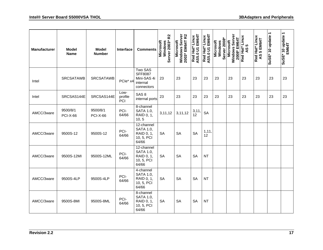| <b>Manufacturer</b> | <b>Model</b><br><b>Name</b> | <b>Model</b><br><b>Number</b> | Interface              | <b>Comments</b>                                                     | R <sub>2</sub><br>Server 2003*<br>Microsoft<br>Windows | Windows Server<br>2003* EM64T R2<br>Microsoft | EM64T<br>Red Hat* Linux<br>AS5.0 U1 | Red Hat* Linux<br>AS5.0 U1 EM64T | Server 2008*<br><b>Microsoft</b><br>Windows | Windows Server<br>2008* EM64T<br>Microsoft | Red Hat* Linux<br>မာ<br>$\overline{5}$ | Red Hat* Linux<br>AS 5 EM64T | $\overline{\phantom{0}}$<br>SuSE* 10 update | $\overline{\phantom{0}}$<br>EM64T<br>EM64T<br>SuSE* 10 update |
|---------------------|-----------------------------|-------------------------------|------------------------|---------------------------------------------------------------------|--------------------------------------------------------|-----------------------------------------------|-------------------------------------|----------------------------------|---------------------------------------------|--------------------------------------------|----------------------------------------|------------------------------|---------------------------------------------|---------------------------------------------------------------|
| Intel               | <b>SRCSATAWB</b>            | <b>SRCSATAWB</b>              | PCle* x4               | Two SAS<br><b>SFF8087</b><br>Mini-SAS 4i<br>internal<br>connectors  | 23                                                     | 23                                            | 23                                  | 23                               | 23                                          | 23                                         | 23                                     | 23                           | 23                                          | 23                                                            |
| Intel               | SRCSAS144E                  | SRCSAS144E                    | Low-<br>profile<br>PCI | SAS <sub>8</sub><br>internal ports                                  | 23                                                     | 23                                            | 23                                  | 23                               | 23                                          | 23                                         | 23                                     | 23                           | 23                                          | 23                                                            |
| AMCC/3ware          | 9500/8/1<br><b>PCI-X-66</b> | 9500/8/1<br><b>PCI-X-66</b>   | PCI-<br>64/66          | 8-channel<br><b>SATA 1.0,</b><br>RAID 0, 1,<br>10, 5                | 3,11,12                                                | 3,11,12                                       | 3,11<br>12                          | <b>SA</b>                        |                                             |                                            |                                        |                              |                                             |                                                               |
| AMCC/3ware          | 9500S-12                    | 9500S-12                      | PCI-<br>64/66          | 12-channel<br><b>SATA 1.0,</b><br>RAID 0, 1,<br>10, 5, PCI<br>64/66 | <b>SA</b>                                              | <b>SA</b>                                     | <b>SA</b>                           | 1, 11,<br>12                     |                                             |                                            |                                        |                              |                                             |                                                               |
| AMCC/3ware          | 9500S-12MI                  | 9500S-12ML                    | PCI-<br>64/66          | 12-channel<br>SATA 1.0,<br>RAID 0, 1,<br>10, 5, PCI<br>64/66        | <b>SA</b>                                              | <b>SA</b>                                     | <b>SA</b>                           | <b>NT</b>                        |                                             |                                            |                                        |                              |                                             |                                                               |
| AMCC/3ware          | 9500S-4LP                   | 9500S-4LP                     | PCI-<br>64/66          | 4-channel<br><b>SATA 1.0,</b><br>RAID 0, 1,<br>10, 5, PCI<br>64/66  | <b>SA</b>                                              | <b>SA</b>                                     | <b>SA</b>                           | <b>NT</b>                        |                                             |                                            |                                        |                              |                                             |                                                               |
| AMCC/3ware          | 9500S-8MI                   | 9500S-8ML                     | PCI-<br>64/66          | 8-channel<br><b>SATA 1.0,</b><br>RAID 0, 1,<br>10, 5, PCI<br>64/66  | <b>SA</b>                                              | <b>SA</b>                                     | <b>SA</b>                           | <b>NT</b>                        |                                             |                                            |                                        |                              |                                             |                                                               |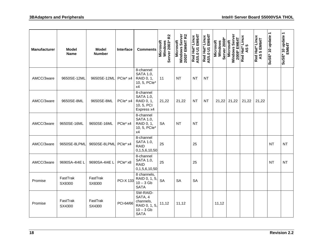| <b>Manufacturer</b> | <b>Model</b><br><b>Name</b> | <b>Model</b><br><b>Number</b> | <b>Interface</b> | <b>Comments</b>                                                                 | R <sub>2</sub><br>Server 2003*<br><b>Microsoft</b><br>Windows | Windows Server<br>2003* EM64T R2<br>Microsoft | Red Hat* Linux<br>AS5.0 U1 EM64T | AS5.0 U1 EM64T<br>Red Hat* Linux | Server 2008*<br>Microsoft<br>Windows | Windows Server<br>2008* EM64T<br>Microsoft | Red Hat* Linux<br><b>LC</b><br>$\overline{a}$ | <b>Red Hat* Linux<br/>AS 5 EM64T</b> | SuSE* 10 update | SuSE* 10 update 1<br>EM64T |
|---------------------|-----------------------------|-------------------------------|------------------|---------------------------------------------------------------------------------|---------------------------------------------------------------|-----------------------------------------------|----------------------------------|----------------------------------|--------------------------------------|--------------------------------------------|-----------------------------------------------|--------------------------------------|-----------------|----------------------------|
| AMCC/3ware          | 9650SE-12ML                 | 9650SE-12ML                   | PCle* x4         | 8-channel<br><b>SATA 1.0,</b><br>RAID 0, 1,<br>10, 5, PCIe*<br>x4               | 11                                                            | NT                                            | ΝT                               | NT                               |                                      |                                            |                                               |                                      |                 |                            |
| AMCC/3ware          | 9650SE-8ML                  | 9650SE-8ML                    | PCle* x4         | 8-channel<br><b>SATA 1.0,</b><br>RAID 0, 1,<br>10, 5, PCI<br>Express x4         | 21,22                                                         | 21,22                                         | NΤ                               | <b>NT</b>                        | 21,22                                | 21,22                                      | 21,22                                         | 21,22                                |                 |                            |
| AMCC/3ware          | 9650SE-16ML                 | 9650SE-16ML                   | PCle* x4         | 8-channel<br><b>SATA 1.0,</b><br>RAID 0, 1,<br>10, 5, PCIe*<br>x4               | <b>SA</b>                                                     | NT                                            | NT                               |                                  |                                      |                                            |                                               |                                      |                 |                            |
| AMCC/3ware          | 9650SE-8LPML                | 9650SE-8LPML PCle* x4         |                  | 8-channel<br><b>SATA 1.0,</b><br><b>RAID</b><br>0,1,5,6,10,50                   | 25                                                            |                                               | 25                               |                                  |                                      |                                            |                                               |                                      | <b>NT</b>       | <b>NT</b>                  |
| AMCC/3ware          | 9690SA-414EL                | 9690SA-414EL                  | PCle* x8         | 8-channel<br><b>SATA 1.0,</b><br><b>RAID</b><br>0,1,5,6,10,50                   | 25                                                            |                                               | 25                               |                                  |                                      |                                            |                                               |                                      | <b>NT</b>       | <b>NT</b>                  |
| Promise             | FastTrak<br>SX8300          | FastTrak<br>SX8300            | <b>PCI-X 133</b> | 8 channels,<br>RAID 0, 1, 5,<br>$10 - 3$ Gb<br><b>SATA</b>                      | <b>SA</b>                                                     | <b>SA</b>                                     | <b>SA</b>                        |                                  |                                      |                                            |                                               |                                      |                 |                            |
| Promise             | FastTrak<br>SX4300          | FastTrak<br>SX4300            | PCI-64/66        | SW-RAID-<br>SATA, 4<br>channels,<br>RAID 0, 1, 5,<br>$10 - 3$ Gb<br><b>SATA</b> | 11,12                                                         | 11,12                                         |                                  |                                  | 11,12                                |                                            |                                               |                                      |                 |                            |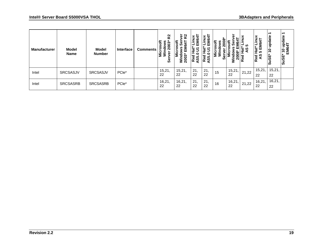| <b>Manufacturer</b> | Model<br><b>Name</b> | <b>Model</b><br><b>Number</b> | Interface         | <b>Comments</b> | R <sub>2</sub><br>Microsoft<br>Windows<br>dows<br>2003*<br>ဖိ | $\boldsymbol{\mathcal{S}}$<br>rosoft<br>မိ<br>$E_{\rm g}$<br>즶<br><b>Si</b> Nic<br><u>ے م</u><br>ຊ<br>3 | ੨<br>cΟ<br>面<br>ೲ<br>c<br>Red<br>ഹ<br>ğ | ê<br>Red<br>AS5. | Σ<br>ω<br>ທ | ខ្លួ<br>Š    | ഥ<br>ທ<br>Rē | nux<br>ч<br>--<br>ဖ<br>ಕ<br>ш<br>מו<br>Red<br>AS | ↽<br>update<br>$\tilde{e}$<br>SuSE <sup>,</sup> | ᠆<br>update<br><b>x4T</b><br>EM64<br>$\frac{1}{2}$<br>SuSE* |
|---------------------|----------------------|-------------------------------|-------------------|-----------------|---------------------------------------------------------------|---------------------------------------------------------------------------------------------------------|-----------------------------------------|------------------|-------------|--------------|--------------|--------------------------------------------------|-------------------------------------------------|-------------------------------------------------------------|
| Intel               | <b>SRCSASJV</b>      | <b>SRCSASJV</b>               | PCle <sup>*</sup> |                 | 15,21,<br>22                                                  | 15,21,<br>22                                                                                            | 21.<br>22                               | 21,<br>22        | 15          | 15,21,<br>22 | 21,22        | 15,21,<br>22                                     | 15,21,<br>22                                    |                                                             |
| Intel               | <b>SRCSASRB</b>      | <b>SRCSASRB</b>               | PCIe <sup>*</sup> |                 | 16,21,<br>22                                                  | 16,21,<br>22                                                                                            | 21.<br>22                               | 21.<br>22        | 16          | 16,21<br>22  | 21,22        | 16,21,<br>22                                     | 16,21,<br>22                                    |                                                             |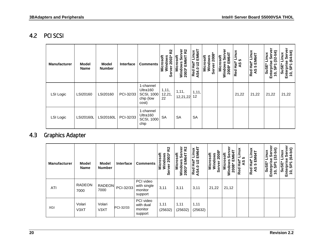#### 4.2 PCI SCSI

| <b>Manufacturer</b> | <b>Model</b><br><b>Name</b> | <b>Model</b><br><b>Number</b> | Interface | <b>Comments</b>                                                  | <u>ռ</u><br>Microsoft<br>Windows<br>rver 2003*<br>Server | <u>ռ</u><br>ō<br>$\frac{1}{2}$<br><b>EM641</b><br>မ္တ<br>Wind<br>2003 | Linux<br>EM64T<br><b>Hat</b><br>$\tilde{S}$<br>Red H<br>AS4.0 | 2008<br>Microsoft<br>Windows<br><b>Server</b> | ͽ<br>EM64T<br>Ser<br><b>Microsoft</b><br>Windows<br>2008* | inux<br>ᆜ<br>10<br><b>Hat</b> *<br>9Y<br>Red | Red Hat* Linux<br>AS 5 EM64T | Ξ<br>Linux<br>ج<br>وي<br>SuSE*<br>Enterpri<br>$\overline{6}$ | $(64-bit)$<br>inux<br><b>SPT</b><br>Enterpri<br>SuS<br>é, |
|---------------------|-----------------------------|-------------------------------|-----------|------------------------------------------------------------------|----------------------------------------------------------|-----------------------------------------------------------------------|---------------------------------------------------------------|-----------------------------------------------|-----------------------------------------------------------|----------------------------------------------|------------------------------|--------------------------------------------------------------|-----------------------------------------------------------|
| <b>LSI Logic</b>    | LSI20160                    | LSI20160                      | PCI-32/33 | 1-channel<br>Ultra160<br><b>SCSI, 1000</b><br>chip (low<br>cost) | 1, 11,<br>12,21,<br>22                                   | 1, 11,<br>12,21,22                                                    | 1, 11,<br>12                                                  |                                               |                                                           | 21,22                                        | 21,22                        | 21,22                                                        | 21,22                                                     |
| LSI Logic           | <b>LSI20160L</b>            | LSI20160L                     | PCI-32/33 | 1-channel<br>Ultra160<br><b>SCSI, 1000</b><br>chip               | <b>SA</b>                                                | <b>SA</b>                                                             | <b>SA</b>                                                     |                                               |                                                           |                                              |                              |                                                              |                                                           |

#### 4.3 Graphics Adapter

<span id="page-23-1"></span><span id="page-23-0"></span>

| <b>Manufacturer</b> | <b>Model</b><br><b>Name</b> | Model<br><b>Number</b> | Interface | <b>Comments</b>                                | R <sub>2</sub><br>Microsoft<br>Windows<br>rver 2003*<br>စ္တီ | ត<br>R <sub>2</sub><br>Microsoft<br>စီ<br>EM64T<br>Windows<br>2003 | Linux<br>EM64T<br>iat*<br>102<br>Red H<br>AS4.0 | $2008*$<br>Microsoft<br>Windows<br>៵<br>ō<br>ഗ | ۵ō<br>4<br>Microsoft<br>Š<br>ш<br>2008'<br>Wind | <b>xuni-</b><br><b>S</b><br>Hat*<br>ଥି<br>Red | inux<br><b>EM64T</b><br>រី<br>អូម<br>5<br>Red<br>AS | it)-<br>Linux<br>ō<br>$\tilde{3}$<br>SuSE <sup>-</sup><br>Enterp<br>あ<br>é, | ፪<br>bit)<br>š<br>Φ<br>┓<br>ە<br>g<br>Sus<br>Enter<br>$\ddot{ }$ |
|---------------------|-----------------------------|------------------------|-----------|------------------------------------------------|--------------------------------------------------------------|--------------------------------------------------------------------|-------------------------------------------------|------------------------------------------------|-------------------------------------------------|-----------------------------------------------|-----------------------------------------------------|-----------------------------------------------------------------------------|------------------------------------------------------------------|
| <b>ATI</b>          | <b>RADEON</b><br>7000       | <b>RADEON</b><br>7000  | PCI-32/33 | PCI video<br>with single<br>monitor<br>support | 3,11                                                         | 3,11                                                               | 3,11                                            | 21,22                                          | 21,12                                           |                                               |                                                     |                                                                             |                                                                  |
| XGI                 | Volari<br>V <sub>3</sub> XT | Volari<br>V3XT         | PCI-32/33 | PCI video<br>with dual<br>monitor<br>support   | 1,11<br>(25632)                                              | 1,11<br>(25632)                                                    | 1,11<br>(25632)                                 |                                                |                                                 |                                               |                                                     |                                                                             |                                                                  |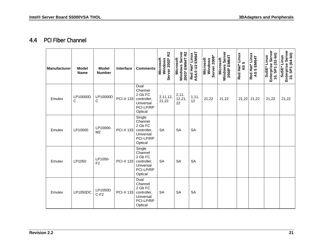#### 4.4 PCI Fiber Channel

<span id="page-24-0"></span>

| <b>Manufacturer</b> | <b>Model</b><br><b>Name</b> | <b>Model</b><br><b>Number</b> | Interface        | <b>Comments</b>                                                                  | R <sub>2</sub><br>Server 2003*<br>Microsoft<br>Windows | 2003* EM64T R2<br>Windows Server<br>Microsoft | AS4.0 U2 EM64T<br>Red Hat* Linux | Server 2008*<br><b>Microsoft</b><br>Windows | Windows Server<br>2008* EM64T<br>Microsoft | Red Hat* Linux<br>AS 5 | Red Hat* Linux<br>AS 5 EM64T | Enterprise Server<br>10, SP1 (32-bit)<br>SuSE* Linux | Enterprise Server<br>10, SP1 (64-bit)<br>SuSE* Linux |
|---------------------|-----------------------------|-------------------------------|------------------|----------------------------------------------------------------------------------|--------------------------------------------------------|-----------------------------------------------|----------------------------------|---------------------------------------------|--------------------------------------------|------------------------|------------------------------|------------------------------------------------------|------------------------------------------------------|
| Emulex              | LP10000D<br>$\mathsf{C}$    | LP10000D<br>С                 | <b>PCI-X 133</b> | Dual<br>Channel<br>2 Gb FC<br>controller,<br>Universal<br>PCI-LP/RP<br>Optical   | 2,11,12,<br>21,22                                      | 2,11,<br>12,21,<br>22                         | 1, 11,<br>12                     | 21,22                                       | 21,22                                      | 21,22                  | 21,22                        | 21,22                                                | 21,22                                                |
| Emulex              | LP10000                     | LP10000-<br>M <sub>2</sub>    | <b>PCI-X 133</b> | Single<br>Channel<br>2 Gb FC<br>controller,<br>Universal<br>PCI-LP/RP<br>Optical | <b>SA</b>                                              | <b>SA</b>                                     | <b>SA</b>                        |                                             |                                            |                        |                              |                                                      |                                                      |
| Emulex              | LP1050                      | LP1050-<br>F <sub>2</sub>     | <b>PCI-X 133</b> | Single<br>Channel<br>2 Gb FC<br>controller,<br>Universal<br>PCI-LP/RP<br>Optical | <b>SA</b>                                              | <b>SA</b>                                     | <b>SA</b>                        |                                             |                                            |                        |                              |                                                      |                                                      |
| Emulex              | LP1050DC                    | LP1050D<br>$C-F2$             | <b>PCI-X 133</b> | Dual<br>Channel<br>2 Gb FC<br>controller,<br>Universal<br>PCI-LP/RP<br>Optical   | <b>SA</b>                                              | <b>SA</b>                                     | <b>SA</b>                        |                                             |                                            |                        |                              |                                                      |                                                      |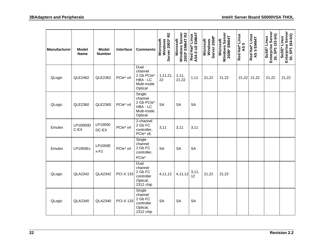| <b>Manufacturer</b> | <b>Model</b><br><b>Name</b> | <b>Model</b><br><b>Number</b> | Interface        | <b>Comments</b>                                                      | R <sub>2</sub><br>Server 2003*<br>Windows<br>Microsoft | Windows Server<br>2003* EM64T R2<br>Microsoft | AS4.0 U2 EM64T<br>Red Hat* Linux | Server 2008*<br>Microsoft<br>Windows | Windows Server<br>2008* EM64T<br>Microsoft | Red Hat* Linux<br>AS 5 | Red Hat* Linux<br>AS 5 EM64T | Enterprise Server<br>10, SP1 (32-bit)<br>SuSE* Linux | Enterprise Server<br>10, SP1 (64-bit)<br>SuSE* Linux |
|---------------------|-----------------------------|-------------------------------|------------------|----------------------------------------------------------------------|--------------------------------------------------------|-----------------------------------------------|----------------------------------|--------------------------------------|--------------------------------------------|------------------------|------------------------------|------------------------------------------------------|------------------------------------------------------|
| QLogic              | QLE2462                     | QLE2362                       | PCle* x4         | Dual<br>channel<br>2 Gb PCle*<br>HBA - LC<br>Multi-mode<br>Optical   | 1,11,21,<br>22                                         | 1, 11,<br>21,22                               | 1,11                             | 21,22                                | 21,22                                      |                        | 21,22 21,22                  | 21,22                                                | 21,22                                                |
| QLogic              | QLE2360                     | QLE2360                       | PCle* x4         | Single<br>channel<br>2 Gb PCle*<br>HBA - LC<br>Multi-mode<br>Optical | <b>SA</b>                                              | <b>SA</b>                                     | <b>SA</b>                        |                                      |                                            |                        |                              |                                                      |                                                      |
| Emulex              | LP10000D<br>$C$ -EX         | LP10000<br>DC-EX              | PCle* x4         | 2-channel<br>2 Gb FC<br>controller,<br>PCle* x8                      | 3,11                                                   | 3,11                                          | 3,11                             |                                      |                                            |                        |                              |                                                      |                                                      |
| Emulex              | LP1050Ex                    | LP1050E<br>$x-F2$             | PCle* x4         | Single<br>channel<br>2 Gb FC<br>controller,<br>PCle*                 | <b>SA</b>                                              | <b>SA</b>                                     | <b>SA</b>                        |                                      |                                            |                        |                              |                                                      |                                                      |
| QLogic              | <b>QLA2342</b>              | <b>QLA2342</b>                | <b>PCI-X 133</b> | Dual<br>channel<br>2 Gb FC<br>controller<br>Optical,<br>2312 chip    | 4,11,12                                                | 4,11,12                                       | 3,11,<br>12                      | 21,22                                | 21,22                                      |                        |                              |                                                      |                                                      |
| QLogic              | QLA2340                     | <b>QLA2340</b>                | <b>PCI-X 133</b> | Single<br>channel<br>2 Gb FC<br>controller<br>Optical,<br>2312 chip  | <b>SA</b>                                              | <b>SA</b>                                     | <b>SA</b>                        |                                      |                                            |                        |                              |                                                      |                                                      |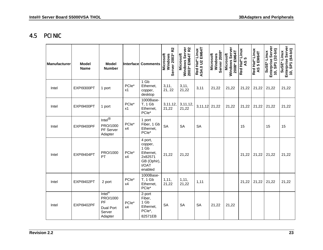#### 4.5 PCI NIC

<span id="page-26-0"></span>

| <b>Manufacturer</b> | <b>Model</b><br><b>Name</b> | <b>Model</b><br><b>Number</b>                                                     |                         | <b>Interface Comments</b>                                                             | R <sub>2</sub><br>Server 2003*<br><b>Microsoft</b><br>Windows | Windows Server<br>2003* EM64T R2<br>Microsoft | AS4.0 U2 EM64T<br>Red Hat* Linux | Windows<br>Server 2008*<br>Microsoft | Windows Server<br>2008* EM64T<br><b>Aicrosoft</b> | Red Hat* Linux<br><b>5</b><br>$\overline{3}$ | Red Hat* Linux<br>AS 5 EM64T | Enterprise Server<br>10, SP1 (32-bit)<br>SuSE* Linux | Enterprise Server<br>10, SP1 (64-bit)<br>SuSE* Linux |
|---------------------|-----------------------------|-----------------------------------------------------------------------------------|-------------------------|---------------------------------------------------------------------------------------|---------------------------------------------------------------|-----------------------------------------------|----------------------------------|--------------------------------------|---------------------------------------------------|----------------------------------------------|------------------------------|------------------------------------------------------|------------------------------------------------------|
| Intel               | EXPI9300PT                  | 1 port                                                                            | PCle*<br>x1             | $1$ Gb<br>Ethernet,<br>copper,<br>desktop                                             | 3,11,<br>21, 22                                               | 3, 11,<br>21,22                               | 3,11                             | 21,22                                | 21,22                                             | 21,22                                        | 21,22                        | 21,22                                                | 21,22                                                |
| Intel               | EXPI9400PT                  | 1 port                                                                            | PCle*<br>x1             | 1000Base-<br><b>T, 1 Gb</b><br>Ethernet,<br>PCle*                                     | 3, 11, 12,<br>21,22                                           | 3, 11, 12,<br>21,22                           | 3,11,12 21,22                    |                                      | 21,22                                             | 21,22                                        | 21,22                        | 21,22                                                | 21,22                                                |
| Intel               | EXPI9400PF                  | Intel $^{\circledR}$<br>PRO/1000<br>PF Server<br>Adapter                          | PCle*<br>x4             | 1 port<br>Fiber, 1 Gb<br>Ethernet,<br>PCle*                                           | <b>SA</b>                                                     | <b>SA</b>                                     | <b>SA</b>                        |                                      |                                                   | 15                                           |                              | 15                                                   | 15                                                   |
| Intel               | EXPI9404PT                  | PRO/1000<br>PT                                                                    | PCle*<br>x4             | 4 port,<br>copper,<br>1 Gb<br>Ethernet,<br>2x82571<br>GB (Ophir),<br>I/OAT<br>enabled | 21,22                                                         | 21,22                                         |                                  |                                      |                                                   | 21,22                                        | 21,22                        | 21,22                                                | 21,22                                                |
| Intel               | EXPI9402PT                  | 2 port                                                                            | PCle*<br>x4             | 1000Base-<br><b>T, 1 Gb</b><br>Ethernet,<br>PCle*                                     | 1, 11,<br>21,22                                               | 1, 11,<br>21,22                               | 1,11                             |                                      |                                                   | 21,22                                        | 21,22                        | 21,22                                                | 21,22                                                |
| Intel               | EXPI9402PF                  | $Inter^{\circ}$<br>PRO/1000<br><b>PF</b><br><b>Dual Port</b><br>Server<br>Adapter | PCle <sup>*</sup><br>x4 | 2-port<br>Fiber,<br>1 Gb<br>Ethernet,<br>PCle*,<br>82571EB                            | <b>SA</b>                                                     | <b>SA</b>                                     | <b>SA</b>                        | 21,22                                | 21,22                                             |                                              |                              |                                                      |                                                      |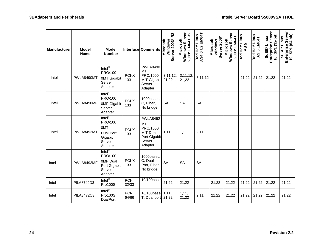| Manufacturer | <b>Model</b><br><b>Name</b> | <b>Model</b><br><b>Number</b>                                                             |               | Interface Comments                                                                        | R <sub>2</sub><br>Server 2003*<br>Microsoft<br>Windows | Windows Server<br>2003* EM64T R2<br>Microsoft | Red Hat* Linux<br>AS4.0 U2 EM64T | Windows<br>Server 2008*<br>Microsoft | Windows Server<br>2008* EM64T<br>Microsoft | Red Hat* Linux<br><b>5</b><br>$\mathbf{S}$ | Red Hat* Linux<br>5 EM64T<br>$\overline{5}$ | Enterprise Server<br>10, SP1 (32-bit)<br>SuSE* Linux | Enterprise Server<br>10, SP1 (64-bit)<br>SuSE* Linux |
|--------------|-----------------------------|-------------------------------------------------------------------------------------------|---------------|-------------------------------------------------------------------------------------------|--------------------------------------------------------|-----------------------------------------------|----------------------------------|--------------------------------------|--------------------------------------------|--------------------------------------------|---------------------------------------------|------------------------------------------------------|------------------------------------------------------|
| Intel        | PWLA8490MT                  | $Intel^{\circledR}$<br>PRO/100<br><b>OMT Gigabit</b><br>Server<br>Adapter                 | PCI-X<br>133  | PWLA8490<br>MT<br>PRO/1000<br>M T Gigabit<br>Server<br>Adapter                            | 3, 11, 12,<br>21,22                                    | 3, 11, 12,<br>21,22                           | 3,11,12                          |                                      |                                            | 21,22                                      | 21,22                                       | 21,22                                                | 21,22                                                |
| Intel        | PWLA8490MF                  | $Inter^{\circledR}$<br>PRO/100<br><b>OMF Gigabit</b><br>Server<br>Adapter                 | PCI-X<br>133  | 1000baseL<br>C, Fiber,<br>No bridge                                                       | <b>SA</b>                                              | <b>SA</b>                                     | <b>SA</b>                        |                                      |                                            |                                            |                                             |                                                      |                                                      |
| Intel        | PWLA8492MT                  | $Inter^{\circledR}$<br>PRO/100<br><b>OMT</b><br>Dual Port<br>Gigabit<br>Server<br>Adapter | PCI-X<br>133  | <b>PWLA8492</b><br><b>MT</b><br>PRO/1000<br>M T Dual<br>Port Gigabit<br>Server<br>Adapter | 1,11                                                   | 1,11                                          | 2,11                             |                                      |                                            |                                            |                                             |                                                      |                                                      |
| Intel        | PWLA8492MF                  | $Inter^{\circledR}$<br>PRO/100<br><b>OMF Dual</b><br>Port Gigabit<br>Server<br>Adapter    | PCI-X<br>133  | 1000baseL<br>C, Dual<br>Port, Fiber,<br>No bridge                                         | <b>SA</b>                                              | <b>SA</b>                                     | <b>SA</b>                        |                                      |                                            |                                            |                                             |                                                      |                                                      |
| Intel        | PILA8740D3                  | Inter <sup>®</sup><br>Pro100S                                                             | PCI-<br>32/33 | $\overline{10/100}$ base                                                                  | 21,22                                                  | 21,22                                         |                                  | 21,22                                | 21,22                                      | 21,22                                      | 21,22                                       | 21,22                                                | 21,22                                                |
| Intel        | <b>PILA8472C3</b>           | Inter <sup>®</sup><br>Pro100S<br><b>DualPort</b>                                          | PCI-<br>64/66 | 10/100base<br>T, Dual port 21,22                                                          | 1,11,                                                  | 1, 11,<br>21,22                               | 2,11                             | 21,22                                | 21,22                                      | 21,22                                      | 21,22                                       | 21,22                                                | 21,22                                                |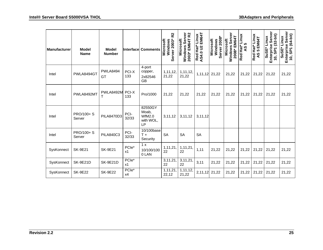| <b>Manufacturer</b> | Model<br><b>Name</b> | <b>Model</b><br><b>Number</b> |               | <b>Interface Comments</b>                            | R <sub>2</sub><br>Server 2003*<br>Microsoft<br>Windows | Server<br>2003* EM64T R2<br>Microsoft<br>Windows | EM64T<br>Linux<br>AS4.0 U2 E<br>AS4.0 U2 E | Server 2008*<br>Microsoft<br>Windows | Windows Server<br>2008* EM64T<br>Microsoft | Red Hat* Linux<br>10<br>$\overline{a}$ | Red Hat* Linux<br>EM64T<br>ശ<br>$\mathsf{S}$ | Enterprise Server<br>SP1 (32-bit)<br>SuSE* Linux<br>$\ddot{0}$ | Server<br>10, SP1 (64-bit)<br>SuSE* Linux<br>Enterprise |
|---------------------|----------------------|-------------------------------|---------------|------------------------------------------------------|--------------------------------------------------------|--------------------------------------------------|--------------------------------------------|--------------------------------------|--------------------------------------------|----------------------------------------|----------------------------------------------|----------------------------------------------------------------|---------------------------------------------------------|
| Intel               | PWLA8494GT           | <b>PWLA8494</b><br>GT         | PCI-X<br>133  | 4-port<br>copper,<br>2x82546<br>GB                   | 1,11,12,<br>21,22                                      | 1,11,12,<br>21,22                                | 1,11,12                                    | 21,22                                | 21,22                                      | 21,22                                  | 21,22                                        | 21,22                                                          | 21,22                                                   |
| Intel               | PWLA8492MT           | PWLA8492M                     | PCI-X<br>133  | Pro/1000                                             | 21,22                                                  | 21,22                                            | 21,22                                      | 21,22                                | 21,22                                      | 21,22                                  | 21,22                                        | 21,22                                                          | 21,22                                                   |
| Intel               | PRO/100+ S<br>Server | <b>PILA8470D3</b>             | PCI-<br>32/33 | 82550GY<br>Moab,<br><b>WfM2.0</b><br>with WOL,<br>LP | 3, 11, 12                                              | 3,11,12                                          | 3,11,12                                    |                                      |                                            |                                        |                                              |                                                                |                                                         |
| Intel               | PRO/100+ S<br>Server | <b>PILA840C3</b>              | PCI-<br>32/33 | 10/100base<br>$T +$<br>Security                      | <b>SA</b>                                              | <b>SA</b>                                        | <b>SA</b>                                  |                                      |                                            |                                        |                                              |                                                                |                                                         |
| SysKonnect          | <b>SK-9E21</b>       | <b>SK-9E21</b>                | PCle*<br>x1   | 1 x<br>10/100/100<br>0 LAN                           | 1,11,21,<br>22                                         | 1,11,21,<br>22                                   | 1,11                                       | 21,22                                | 21,22                                      | 21,22                                  | 21,22                                        | 21,22                                                          | 21,22                                                   |
| SysKonnect          | <b>SK-9E21D</b>      | <b>SK-9E21D</b>               | PCle*<br>x1   |                                                      | 3, 11, 21,<br>22                                       | 3,11,21,<br>22                                   | 3,11                                       | 21,22                                | 21,22                                      | 21,22                                  | 21,22                                        | 21,22                                                          | 21,22                                                   |
| SysKonnect          | <b>SK-9E22</b>       | <b>SK-9E22</b>                | PCle*<br>x4   |                                                      | 1,11,21<br>22,12                                       | 1,11,12,<br>21,22                                | 2,11,12                                    | 21,22                                | 21,22                                      | 21,22                                  | 21,22                                        | 21,22                                                          | 21,22                                                   |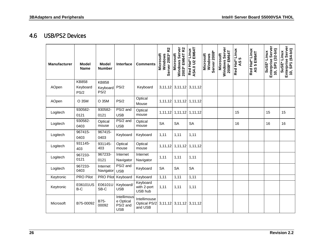#### 4.6 USB/PS2 Devices

<span id="page-29-0"></span>

| <b>Manufacturer</b> | <b>Model</b><br><b>Name</b>      | <b>Model</b><br><b>Number</b>    | Interface                                          | <b>Comments</b>                         | R <sub>2</sub><br>Server 2003*<br>Microsoft<br>Windows | Windows Server<br>2003* EM64T R2<br><b>Microsoft</b> | EM64T<br>Red Hat* Linux<br><b>AS4.0 U2</b> | Server 2008*<br><b>Microsoft</b><br>Windows | Windows Server<br>2008* EM64T<br>Microsoft | Red Hat* Linux<br><b>LO</b><br>$\overline{4}$ | Red Hat* Linux<br>5 EM64T<br>AS | Enterprise Server<br>10, SP1 (32-bit)<br>SuSE* Linux | Enterprise Server<br>10, SP1 (64-bit)<br>SuSE* Linux |
|---------------------|----------------------------------|----------------------------------|----------------------------------------------------|-----------------------------------------|--------------------------------------------------------|------------------------------------------------------|--------------------------------------------|---------------------------------------------|--------------------------------------------|-----------------------------------------------|---------------------------------|------------------------------------------------------|------------------------------------------------------|
| AOpen               | <b>KB858</b><br>Keyboard<br>PS/2 | <b>KB858</b><br>Keyboard<br>PS/2 | PS/2                                               | Keyboard                                |                                                        | $3,11,12$ 3,11,12                                    | 3, 11, 12                                  |                                             |                                            |                                               |                                 |                                                      |                                                      |
| AOpen               | O 35M                            | O 35M                            | PS/2                                               | Optical<br>Mouse                        | 1,11,12                                                | 1,11,12                                              | 1,11,12                                    |                                             |                                            |                                               |                                 |                                                      |                                                      |
| Logitech            | 930582-<br>0121                  | 930582-<br>0121                  | PS/2 and<br><b>USB</b>                             | Optical<br>mouse                        | 1, 11, 12                                              | 1,11,12                                              | 1,11,12                                    |                                             |                                            | 15                                            |                                 | 15                                                   | 15                                                   |
| Logitech            | 930582-<br>0403                  | Optical<br>mouse                 | PS/2 and<br><b>USB</b>                             | Optical<br>mouse                        | <b>SA</b>                                              | <b>SA</b>                                            | <b>SA</b>                                  |                                             |                                            | 16                                            |                                 | 16                                                   | 16                                                   |
| Logitech            | 967415-<br>0403                  | 967415-<br>0403                  | Keyboard                                           | Keyboard                                | 1,11                                                   | 1,11                                                 | 1,11                                       |                                             |                                            |                                               |                                 |                                                      |                                                      |
| Logitech            | 931145-<br>403                   | 931145-<br>403                   | Optical<br>mouse                                   | Optical<br>mouse                        | 1,11,12                                                | 1,11,12                                              | 1,11,12                                    |                                             |                                            |                                               |                                 |                                                      |                                                      |
| Logitech            | 967233-<br>0121                  | 967233-<br>0121                  | Internet<br>Navigator                              | Internet<br>Navigator                   | 1,11                                                   | 1,11                                                 | 1,11                                       |                                             |                                            |                                               |                                 |                                                      |                                                      |
| Logitech            | 967233-<br>0403                  | Internet<br>Navigator            | PS/2 and<br><b>USB</b>                             | Keyboard                                | <b>SA</b>                                              | <b>SA</b>                                            | <b>SA</b>                                  |                                             |                                            |                                               |                                 |                                                      |                                                      |
| Keytronic           | <b>PRO Pilot</b>                 | PRO Pilot                        | Keyboard                                           | Keyboard                                | 1,11                                                   | 1,11                                                 | 1,11                                       |                                             |                                            |                                               |                                 |                                                      |                                                      |
| Keytronic           | E06101US<br>B-C                  | E06101U<br>SB-C                  | Keyboard/<br><b>USB</b>                            | Keyboard<br>with 2-port<br>USB hub      | 1,11                                                   | 1,11                                                 | 1,11                                       |                                             |                                            |                                               |                                 |                                                      |                                                      |
| Microsoft           | B75-00092                        | B75-<br>00092                    | Intellimous<br>e Optical<br>PS/2 and<br><b>USB</b> | Intellimouse<br>Optical PS/2<br>and USB |                                                        | $3,11,12$ 3,11,12                                    | 3,11,12                                    |                                             |                                            |                                               |                                 |                                                      |                                                      |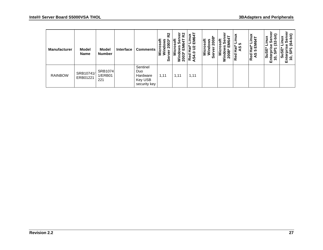| <b>Manufacturer</b> | <b>Model</b><br><b>Name</b> | <b>Model</b><br><b>Number</b> | Interface | <b>Comments</b>                                        | ນ<br>$\boldsymbol{\mathring{5}}$ 003<br>n,<br><b>Croso</b><br>Σ3<br><b>S</b> | e 2<br>۵Ò<br>in<br>200 | EM <sub>6</sub><br>$\mathbf{S}$<br><u>ㅎ</u><br>o<br>Red<br>Ч<br>Ò<br>⋖ | <b>ows<br/>2008*</b><br>$\ddot{\sigma}$<br>8o<br>Ó<br>σ<br>Nicr<br>≫in<br>Φ<br><b>S</b> | ៓<br>۰<br>ш<br>ທ<br>o<br>ထ<br>ខ្លួ<br>È | š<br>ທ<br>ist*<br>9Y<br>Red | Linux<br>EM64T<br>Hat*<br>ပ္ပ<br>०<br>१<br>Red | inux<br>ທ<br><b>SuS</b><br>0<br>÷<br>面 | bit)<br>ق<br>$\bar{a}$<br>$\bullet$<br>巴 |
|---------------------|-----------------------------|-------------------------------|-----------|--------------------------------------------------------|------------------------------------------------------------------------------|------------------------|------------------------------------------------------------------------|-----------------------------------------------------------------------------------------|-----------------------------------------|-----------------------------|------------------------------------------------|----------------------------------------|------------------------------------------|
| <b>RAINBOW</b>      | SRB10741/<br>ERB01221       | SRB1074<br>1/ERB01<br>221     |           | Sentinel<br>Duo<br>Hardware<br>Key USB<br>security key | 1,11                                                                         | 1,11                   | 1,11                                                                   |                                                                                         |                                         |                             |                                                |                                        |                                          |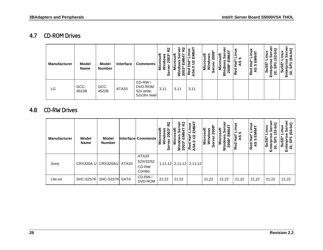#### 4.7 CD-ROM Drives

| <b>Manufacturer</b> | <b>Model</b><br><b>Name</b> | <b>Model</b><br><b>Number</b> | Interface | <b>Comments</b>                                | R <sub>2</sub><br>ӟ<br>Φ<br>Ø | ត<br>≏<br>≳ ম | ĔÑ<br>S<br>-<br>്മ<br>Ò, | $\frac{8}{9}$<br>osoft<br>ທ<br>σ<br>Micr<br>Ξ<br>ω<br>ທ | ξ<br>$\bar{N}$ | nux<br>ທ<br>Ìã<br>ပ္မွ<br>Red | ÷<br>EM <sub>6</sub><br><b>Hat</b> *<br>ທ<br>Red<br>AS | Ξ<br><b>SuSE</b><br>0<br>ш | 0<br>ш |
|---------------------|-----------------------------|-------------------------------|-----------|------------------------------------------------|-------------------------------|---------------|--------------------------|---------------------------------------------------------|----------------|-------------------------------|--------------------------------------------------------|----------------------------|--------|
| LG                  | GCC-<br>4522B               | GCC-<br>4522B                 | ATA33     | CD-RW/<br>DVD-ROM<br>52x write,<br>52x16x read | 3,11                          | 3,11          | 3,11                     |                                                         |                |                               |                                                        |                            |        |

#### 4.8 CD-RW Drives

<span id="page-31-1"></span><span id="page-31-0"></span>

| <b>Manufacturer</b> | <b>Model</b><br><b>Name</b> | <b>Model</b><br><b>Number</b> |             | <b>Interface Comments</b>            | 22<br>2003*<br>OSO'<br>ठ<br>Micr<br>Win<br>Ŏ, | ō<br>ີ ໂ<br>$\frac{4}{5}$<br><b>64T</b><br>in<br>200 | Linux<br>EM64T<br>ដៃ 3<br>0<br>Red<br>AS4. | /indows<br>ver 2008*<br>Microsoft<br>Windows<br>ēr<br>Šēr | osoft<br>တိ<br>EM6<br><b>2008</b><br>ءِ<br>آ | inux<br>ທ<br><b>Hat</b> *<br>ୁ<br>Red | Hat* Linu><br>EM64T<br><b>LC</b><br>Red<br>AS | Sus<br>Ĕ<br>0<br>ш | -bit)<br>š<br>$\mathfrak{F}$<br>$\overline{6}$<br>ш |
|---------------------|-----------------------------|-------------------------------|-------------|--------------------------------------|-----------------------------------------------|------------------------------------------------------|--------------------------------------------|-----------------------------------------------------------|----------------------------------------------|---------------------------------------|-----------------------------------------------|--------------------|-----------------------------------------------------|
| Sony                | <b>CRX320AU</b>             | CRX320AU                      | ATA33       | ATA33<br>52X/32/52<br>CD-RW<br>Combo |                                               |                                                      | 1,11,12 2,11,12 2,11,12                    |                                                           |                                              |                                       |                                               |                    |                                                     |
| Lite-on             | <b>SHC-52S7K</b>            | SHC-52S7K                     | <b>SATA</b> | CD-RW/<br>DVD-ROM                    | 21,22                                         | 21,22                                                |                                            | 21,22                                                     | 21,22                                        | 21,22                                 | 21,22                                         | 21,22              | 21,22                                               |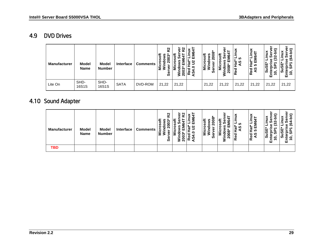#### 4.9 DVD Drives

| <b>Manufacturer</b> | <b>Model</b><br><b>Name</b> | <b>Model</b><br><b>Number</b> | <b>Interface</b> | <b>Comments</b> | R <sub>2</sub><br>rosoft<br>ທ *<br>0<br>ā<br>Σ<br>ω<br><b>S</b> | e<br>R2<br>ເດ<br>0<br>ັຣ ສ | š<br>_<br>EM<br>$\overline{\mathbf{v}}$<br>$\frac{1}{16}$<br>o<br>₻<br>ႜၕိမ္မွဲ | ီ<br>$\frac{1}{10}$<br>n<br>0<br>δÑ<br>ਹ<br>Mic<br>ō<br>n | \$ة<br>ഗ<br>Σ<br>ഗய<br>∍<br>0<br>Ñ<br>.= | š<br>ທ<br>ပ္မွာ<br>₩<br>æ<br>Red | Linux<br>4<br><u>و</u><br>Hat <sup>*</sup><br>ш<br>ທ<br>Red<br>AS | -<br>ທ<br>ທ<br>ທົ<br>o<br>ш | ಅ<br>ഗ<br>$\bullet$<br>↽<br>∼<br>ш |
|---------------------|-----------------------------|-------------------------------|------------------|-----------------|-----------------------------------------------------------------|----------------------------|---------------------------------------------------------------------------------|-----------------------------------------------------------|------------------------------------------|----------------------------------|-------------------------------------------------------------------|-----------------------------|------------------------------------|
| Lite On             | SHD-<br>16S1S               | SHD-<br>16S1S                 | <b>SATA</b>      | DVD-ROM         | 21,22                                                           | 21,22                      |                                                                                 | 21,22                                                     | 21,22                                    | 21,22                            | 21,22                                                             | 21,22                       | 21,22                              |

#### 4.10 Sound Adapter

<span id="page-32-1"></span><span id="page-32-0"></span>

| Manufacturer | <b>Model</b><br><b>Name</b> | <b>Model</b><br><b>Number</b> | Interface | <b>Comments</b> | κ2<br>ဖ္<br>о<br>ທ | <u>ច ន</u><br>0<br>≥ ¤ | ш<br>N<br>ᠭᠣ<br>c<br>ω<br>Ò,<br>œ | $\ddot{\sigma}$<br>n<br>e<br>n<br>ο<br>o<br>ပ<br>ΞĪ<br>ທ | ≂<br><b>மை</b><br>ຊ<br>− | ≚<br>ທ<br>ທ<br>ಕ<br>ъ<br>Φ<br>œ | Linux<br>–<br>4<br>ဖ<br>Hat*<br>ш<br>ທ<br>Red<br>AS | з<br>≘<br>U<br>U,<br>e<br>o<br>ш | Ξ<br>್ರಿ<br>$\bullet$<br>$\overline{\phantom{0}}$<br>►<br>ш |
|--------------|-----------------------------|-------------------------------|-----------|-----------------|--------------------|------------------------|-----------------------------------|----------------------------------------------------------|--------------------------|---------------------------------|-----------------------------------------------------|----------------------------------|-------------------------------------------------------------|
| <b>TBD</b>   |                             |                               |           |                 |                    |                        |                                   |                                                          |                          |                                 |                                                     |                                  |                                                             |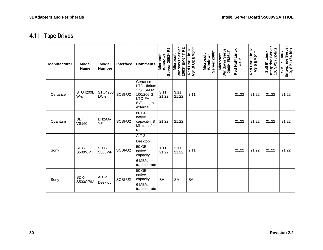#### 4.11 Tape Drives

<span id="page-33-0"></span>

| <b>Manufacturer</b> | Model<br><b>Name</b>     | <b>Model</b><br><b>Number</b>        | Interface | <b>Comments</b>                                                                                 | R <sub>2</sub><br>Server 2003*<br>Microsoft<br>Windows | Windows Server<br>2003* EM64T R2<br><b>Microsoft</b> | AS4.0 U2 EM64T<br>Red Hat* Linux | Windows<br>Server 2008*<br><b>Microsoft</b> | Windows Server<br>2008* EM64T<br>Microsoft | Red Hat* Linux<br>5<br>$\overline{4}$ | Red Hat* Linux<br>AS 5 EM64T | Enterprise Server<br>10, SP1 (32-bit)<br>SuSE* Linux | Enterprise Server<br>10, SP1 (64-bit)<br>SuSE* Linux |
|---------------------|--------------------------|--------------------------------------|-----------|-------------------------------------------------------------------------------------------------|--------------------------------------------------------|------------------------------------------------------|----------------------------------|---------------------------------------------|--------------------------------------------|---------------------------------------|------------------------------|------------------------------------------------------|------------------------------------------------------|
| Certance            | <b>STU4200L</b><br>$W-S$ | STU4200<br>LW-s                      | SCSI-U2   | Certance<br><b>LTO Ultrium</b><br>1 SCSI-U2<br>100/200 G,<br>LTO FH,<br>8.3" length<br>external | 3,11,<br>21,22                                         | 3,11,<br>21,22                                       | 3,11                             |                                             |                                            | 21,22                                 | 21,22                        | 21,22                                                | 21,22                                                |
| Quantum             | DLT,<br><b>VS160</b>     | BH <sub>2</sub> A <sub>-</sub><br>YF | SCSI-U2   | 80 GB<br>native<br>capacity, 8<br>Mb transfer<br>rate                                           | 21,22                                                  | 21,22                                                |                                  |                                             |                                            | 21,22                                 | 21,22                        | 21,22                                                | 21,22                                                |
| Sony                | SDX-<br><b>S500V/P</b>   | SDX-<br><b>S500V/P</b>               | SCSI-U2   | AIT-2<br>Desktop<br>50 GB<br>native<br>capacity,<br>6 MB/s<br>transfer rate                     | 1, 11,<br>21,22                                        | 2,11,<br>21,22                                       | 2,11                             |                                             |                                            | 21,22                                 | 21,22                        | 21,22                                                | 21,22                                                |
| Sony                | SDX-<br><b>S500C/BM</b>  | AIT-2<br>Desktop                     | SCSI-U2   | $50$ GB<br>native<br>capacity,<br>6 MB/s<br>transfer rate                                       | <b>SA</b>                                              | <b>SA</b>                                            | <b>SA</b>                        |                                             |                                            |                                       |                              |                                                      |                                                      |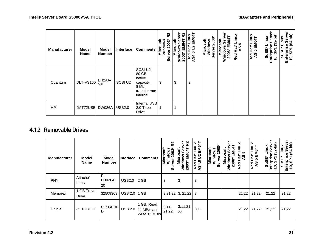| <b>Manufacturer</b> | <b>Model</b><br><b>Name</b> | <b>Model</b><br><b>Number</b> | Interface     | <b>Comments</b>                                                              | Σζ<br>2003*<br>Microsoft<br>Windows<br>ğ<br>မ္တ | ەّ<br>သူ<br>rosoft<br><b>M64T</b><br>Wind<br>2003 | EM64T<br>š<br>≘<br>3<br>ē<br>AS4.0<br>AS4.0 | Server <sub>2008</sub><br>Microsoft<br>Windows | EM64T<br>Microsoft<br>မြိ<br>Windows<br>2008* | xuni<br>ທ<br><b>Hat</b> *<br>9A<br>Red | Red Hat* Linux<br>AS 5 EM64T | $(32 - bit)$<br><b>xunli</b> -<br>န်<br>SuSE<br>Enterpri<br>$\overline{0}$ | ō<br>$(64-bit)$<br>inux<br>ō<br>Ō<br><b>SPT</b><br>SuSE<br>Ω<br>Entel<br>$\ddot{0}$ |
|---------------------|-----------------------------|-------------------------------|---------------|------------------------------------------------------------------------------|-------------------------------------------------|---------------------------------------------------|---------------------------------------------|------------------------------------------------|-----------------------------------------------|----------------------------------------|------------------------------|----------------------------------------------------------------------------|-------------------------------------------------------------------------------------|
| Quantum             | <b>DLT-VS160</b>            | BH2AA-<br>YF                  | SCSI U2       | SCSI-U2<br>80 GB<br>native<br>capacity,<br>8 Mb<br>transfer rate<br>internal | 3                                               | 3                                                 | 3                                           |                                                |                                               |                                        |                              |                                                                            |                                                                                     |
| <b>HP</b>           | DAT72USB                    | <b>DW026A</b>                 | <b>USB2.0</b> | Internal USB<br>2.0 Tape<br><b>Drive</b>                                     |                                                 |                                                   |                                             |                                                |                                               |                                        |                              |                                                                            |                                                                                     |

#### 4.12 Removable Drives

<span id="page-34-0"></span>

| <b>Manufacturer</b> | Model<br><b>Name</b>        | <b>Model</b><br><b>Number</b> | Interface      | <b>Comments</b>                            | <u>ռ</u><br>Microsoft<br>$2003*$<br>Windows<br>ğ<br>Φ<br><b>UD</b> | ō<br><u> 2</u><br><b>ICrosoft</b><br><b>EM64T</b><br>2003<br>Š | EM64T<br>xuni.<br>$Hat^*$<br>$\mathbf{S}$<br>AS4.0<br>Red | $\frac{8}{2}$<br>Microsoft<br>Windows<br>ส<br>ē<br>Šēr | crosoft<br>ιè<br>Σ<br>$2008*$<br>Ξ<br><b>Minde</b> | inux<br><b>S</b><br><b>Hat</b> *<br>$\mathbf{S}$<br>Red | <b>xuni.</b><br>5 EM64T<br>Hat*<br>Red<br>AS | it)<br><b>xuul</b><br>Šēr<br><b>SuSE</b><br>Enterpri<br>$\overline{0}$ | Φ<br>$(64-bit)$<br>inux<br>SP7<br>uSE<br>Ente<br>10,<br>ທ |
|---------------------|-----------------------------|-------------------------------|----------------|--------------------------------------------|--------------------------------------------------------------------|----------------------------------------------------------------|-----------------------------------------------------------|--------------------------------------------------------|----------------------------------------------------|---------------------------------------------------------|----------------------------------------------|------------------------------------------------------------------------|-----------------------------------------------------------|
| <b>PNY</b>          | Attache'<br>2 GB            | P-<br>FD02GU<br>20            | <b>USB2.0</b>  | 2 GB                                       | 3                                                                  | 3                                                              | 3                                                         |                                                        |                                                    |                                                         |                                              |                                                                        |                                                           |
| Memorex             | 1 GB Travel<br><b>Drive</b> | 32509363                      | <b>USB 2.0</b> | 1 GB                                       |                                                                    | $3,21,22$ 3, 21,22                                             | -3                                                        |                                                        |                                                    | 21,22                                                   | 21,22                                        | 21,22                                                                  | 21,22                                                     |
| Crucial             | CT1GBUFD                    | CT1GBUF<br>D                  | <b>USB 2.0</b> | 1 GB, Read<br>11 MB/s and<br>Write 10 MB/s | 3,11,<br>21,22                                                     | 3, 11, 21,<br>22                                               | 3,11                                                      |                                                        |                                                    | 21,22                                                   | 21,22                                        | 21,22                                                                  | 21,22                                                     |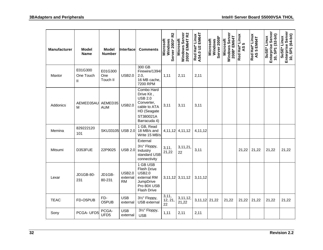| <b>Manufacturer</b> | <b>Model</b><br><b>Name</b>          | <b>Model</b><br><b>Number</b> | Interface                              | <b>Comments</b>                                                                                                      | R <sub>2</sub><br>Server 2003*<br>Windows<br>Microsoft | Windows Server<br>2003* EM64T R2<br>Microsoft | AS4.0 U2 EM64T<br>Linux<br>Red Hat* | Server 2008*<br><b>Microsoft</b><br>Windows | Windows Server<br>2008* EM64T<br><b>Microsoft</b> | Red Hat* Linux<br><u> LO</u><br>$\overline{4}$ | Red Hat* Linux<br>AS 5 EM64T | Enterprise Server<br>10, SP1 (32-bit)<br>SuSE <sup>*</sup> Linux | Enterprise Server<br>10, SP1 (64-bit)<br>SuSE* Linux |
|---------------------|--------------------------------------|-------------------------------|----------------------------------------|----------------------------------------------------------------------------------------------------------------------|--------------------------------------------------------|-----------------------------------------------|-------------------------------------|---------------------------------------------|---------------------------------------------------|------------------------------------------------|------------------------------|------------------------------------------------------------------|------------------------------------------------------|
| Maxtor              | E01G300<br>One Touch<br>$\mathbf{H}$ | E01G300<br>One<br>Touch II    | <b>USB2.0</b>                          | 300 GB<br>Firewire/1394/<br>2.0,<br>16 MB cache,<br>7200 RPM                                                         | 1,11                                                   | 2,11                                          | 2,11                                |                                             |                                                   |                                                |                              |                                                                  |                                                      |
| Addonics            | AEMED35AU<br>M                       | AEMED35<br><b>AUM</b>         | <b>USB2.0</b>                          | Combo Hard<br>Drive Kit,<br><b>USB 2.0</b><br>Converter,<br>cable to ATA<br>HD (Seagate<br>ST380021A<br>Barracuda 4) | 3,11                                                   | 3,11                                          | 3,11                                |                                             |                                                   |                                                |                              |                                                                  |                                                      |
| Memina              | 829222120<br>101                     | <b>SKU33105</b>               | <b>USB 2.0</b>                         | 1 GB, Read<br>18 MB/s and<br>Write 15 MB/s                                                                           | 4,11,12                                                | 4,11,12                                       | 4,11,12                             |                                             |                                                   |                                                |                              |                                                                  |                                                      |
| Mitsumi             | D353FUE                              | 22P9025                       | <b>USB 2.0</b>                         | External<br>31/2" Floppy,<br>Industry<br>standard USB<br>connectivity                                                | 3,11,<br>21,22                                         | 3, 11, 21,<br>22                              | 3,11                                |                                             |                                                   | 21,22                                          | 21,22                        | 21,22                                                            | 21,22                                                |
| Lexar               | JD1GB-80-<br>231                     | JD1GB-<br>80-231              | <b>USB2.0</b><br>external<br><b>RM</b> | 1 GB USB<br><b>Flash Drive</b><br><b>USB2.0</b><br>external RM<br>JumpDrive<br>Pro 80X USB<br><b>Flash Drive</b>     |                                                        | $3,11,12$ 3,11,12                             | 3, 11, 12                           |                                             |                                                   |                                                |                              |                                                                  |                                                      |
| <b>TEAC</b>         | FD-O5PUB                             | FD-<br>O5PUB                  | <b>USB</b><br>external                 | 31/ <sub>2</sub> " Floppy,<br><b>USB</b> external                                                                    | 3,11,<br>12, 21,<br>22                                 | 3, 11, 12,<br>21,22                           | 3,11,12 21,22                       |                                             | 21,22                                             | 21,22                                          | 21,22                        | 21,22                                                            | 21,22                                                |
| Sony                | PCGA-UFD5                            | PCGA-<br>UFD <sub>5</sub>     | <b>USB</b><br>external                 | $3\frac{1}{2}$ " Floppy,<br><b>USB</b>                                                                               | 1,11                                                   | 2,11                                          | 2,11                                |                                             |                                                   |                                                |                              |                                                                  |                                                      |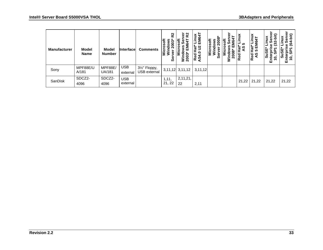| <b>Manufacturer</b> | Model<br><b>Name</b> | Model<br><b>Number</b>   | Interface              | <b>Comments</b>                            | သူ<br>soft<br>n<br>$2003*$<br>$\circ$<br>ΙĒΣ<br>Ō | ត្ ង<br>Ѣ<br>٤Ď<br>⋸<br>n,<br>၀<br>ັຣັ ລິ | EM64T<br>š<br><u>នៃ 3</u><br>0<br>Red<br><b>AS4.</b> | ႜႜ<br>icrosoft<br>U)<br>0<br>o<br>Σ<br>ω<br><b>S</b> | $\ddot{\sigma}$<br>అ<br>Ŵ<br>Σ<br>$\infty$<br>c<br>Š<br>o | inux<br><b>LO</b><br>ដៃ<br>ဖာ<br>Red | inux<br>3<br>٤<br><b>Hat</b><br><b>5</b><br>ु<br>A<br>Red | Ξ<br>inux<br><b>SuSE</b><br>0<br>تو<br>區<br>- | $\hat{a}$<br>≚<br>ف<br>ុត<br>$\frac{1}{10}$ |
|---------------------|----------------------|--------------------------|------------------------|--------------------------------------------|---------------------------------------------------|-------------------------------------------|------------------------------------------------------|------------------------------------------------------|-----------------------------------------------------------|--------------------------------------|-----------------------------------------------------------|-----------------------------------------------|---------------------------------------------|
| Sony                | MPF88E/U<br>A/181    | MPF88E/<br><b>UA/181</b> | <b>USB</b><br>external | 31/ <sub>2</sub> " Floppy,<br>USB external |                                                   | $3,11,12$ $3,11,12$                       | 3,11,12                                              |                                                      |                                                           |                                      |                                                           |                                               |                                             |
| SanDisk             | SDCZ2-<br>4096       | SDCZ2-<br>4096           | <b>USB</b><br>external |                                            | 1,11,<br>21, 22                                   | 2,11,21,<br>22                            | 2,11                                                 |                                                      |                                                           | 21,22                                | 21,22                                                     | 21,22                                         | 21,22                                       |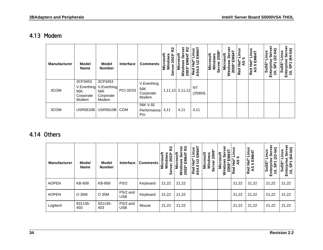#### 4.13 Modem

| <b>Manufacturer</b> | <b>Model</b><br><b>Name</b>                         | <b>Model</b><br><b>Number</b>                       | <b>Interface</b> | <b>Comments</b>                          | ည္<br>osoft<br>2003<br>Micr<br>Winc<br>Ō | သူ<br><b>2003</b> | EM6<br>$\mathbf{S}$<br>$\overline{\overline{6}}$<br>0<br>Red<br>Ù, | Microsoft<br>o<br>İ<br>Φ<br>ഗ | टु<br>ဒ္ဓိ<br>y<br>S<br>0 | inux<br>ທ<br>,<br>Ен<br>ဖ္<br>Red | Linux<br>EM64T<br>Ťať<br><b>LO</b><br>Red<br>AS | inux<br><b>SuSE</b><br>ដំ<br>កំព | ಅ<br>S<br>冚 |
|---------------------|-----------------------------------------------------|-----------------------------------------------------|------------------|------------------------------------------|------------------------------------------|-------------------|--------------------------------------------------------------------|-------------------------------|---------------------------|-----------------------------------|-------------------------------------------------|----------------------------------|-------------|
| 3COM                | 3CP3453<br>V.Everthing<br>56K<br>Corporate<br>Modem | 3CP3453<br>V.Everthing<br>56K<br>Corporate<br>Modem | PCI-32/33        | V.Everthing<br>56K<br>Corporate<br>Modem |                                          | $1,11,12$ 2,11,12 | NT<br>(25904)                                                      |                               |                           |                                   |                                                 |                                  |             |
| 3COM                | <b>USR5610B</b>                                     | USR5610B COM                                        |                  | 56K V.92<br>Performance<br>Pro           | 3,11                                     | 4,11              | 4,11                                                               |                               |                           |                                   |                                                 |                                  |             |

#### 4.14 Others

<span id="page-37-1"></span><span id="page-37-0"></span>

| <b>Manufacturer</b> | Model<br><b>Name</b> | Model<br><b>Number</b> | <b>Interface</b>       | <b>Comments</b> | R <sub>2</sub><br>soft<br>dows<br>2003*<br>۰<br>ট<br>Ξ<br>တိ | <b>R2</b><br>ō<br>osoft<br>EM64T<br>တိ<br><u>ة.</u><br>2003<br>Š | LPS<br>Linux<br>EM64T<br><u>้สะว</u><br>$\circ$<br><b>Red</b><br>AS4.0 | 2008<br>osoft<br>ows<br>៵<br>Σ<br>ဖိ | ō<br>soft<br>ဖိ<br>i<br>EM<br><b>2008</b><br>Σ<br>Wind | š<br>ທ<br>់ដ<br>ທ<br>Red | Linux<br>EM64T<br><b>Hat</b><br>10<br>Red<br>AS | it)<br>inux<br>ه<br>ທັ<br>32<br>Ù.<br>Sust<br>α<br>Enter<br>$\mathbf{c}$ | arve<br>bit)<br>inux<br>$\mathfrak{E}$<br>င္တ<br>Sus<br>ي<br>່ວົ<br>$\overline{\phantom{0}}$<br>ш |
|---------------------|----------------------|------------------------|------------------------|-----------------|--------------------------------------------------------------|------------------------------------------------------------------|------------------------------------------------------------------------|--------------------------------------|--------------------------------------------------------|--------------------------|-------------------------------------------------|--------------------------------------------------------------------------|---------------------------------------------------------------------------------------------------|
| <b>AOPEN</b>        | KB-858               | KB-858                 | PS/2                   | Keyboard        | 21,22                                                        | 21,22                                                            |                                                                        |                                      |                                                        | 21,22                    | 21,22                                           | 21,22                                                                    | 21,22                                                                                             |
| <b>AOPEN</b>        | O 35M                | O 35M                  | PS/2 and<br><b>USB</b> | Keyboard        | 21,22                                                        | 21,22                                                            |                                                                        |                                      |                                                        | 21,22                    | 21,22                                           | 21,22                                                                    | 21,22                                                                                             |
| Logitech            | 931145-<br>403       | 931145-<br>403         | PS/2 and<br><b>USB</b> | Mouse           | 21,22                                                        | 21,22                                                            |                                                                        |                                      |                                                        | 21,22                    | 21,22                                           | 21,22                                                                    | 21,22                                                                                             |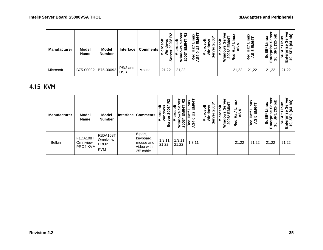| Manufacturer | Model<br><b>Name</b> | <b>Model</b><br><b>Number</b> | <b>Interface</b>       | <b>Comments</b> | R <sub>2</sub><br>۴<br>003<br>U)<br>Σ.<br>တိ | k2<br>৯<br>LО<br>-<br>0<br>$\bar{\mathbf{N}}$ | š<br>cσ<br>ш<br>ົ<br>ದ<br>с<br><b>Red</b><br>S4. | ထ<br>ທ | ā<br>έ | ≚<br>ю<br>U. | ×<br>$\mathbf c$<br>呉<br>。<br>王<br>က<br>Red<br>AS | cr.<br>o<br>ш | Ξ<br>ಅ<br>$\bullet$<br>ш |
|--------------|----------------------|-------------------------------|------------------------|-----------------|----------------------------------------------|-----------------------------------------------|--------------------------------------------------|--------|--------|--------------|---------------------------------------------------|---------------|--------------------------|
| Microsoft    | B75-00092            | B75-00092                     | PS/2 and<br><b>USB</b> | Mouse           | 21,22                                        | 21,22                                         |                                                  |        |        | 21,22        | 21,22                                             | 21,22         | 21,22                    |

#### 4.15 KVM

<span id="page-38-0"></span>

| <b>Manufacturer</b> | <b>Model</b><br><b>Name</b>      | <b>Model</b><br><b>Number</b>                          | Interface | <b>Comments</b>                                              | လ္စ<br>$\frac{1}{2003}$<br>roso<br>Ξ<br>မီ | 2<br>2<br>टू<br>U)<br>8<br>≥ ন | EM64T<br>$\mathbf{r}$<br>o<br>Red<br>AS4. | ows<br>2008*<br><b>Microsoft</b><br>Windows<br>ao<br>a<br>ត<br>≦.<br>ō<br>ທ | 5<br>Sofi<br>۱ê<br>ທ<br>ш.<br>o<br>2008<br>Σ<br>έ | ທ<br>₩<br>9À<br>운<br>ਹ<br>ِ<br>Rē | Linux<br>EM64T<br>ា<br>អង់<br>5 El<br>Red<br>AS | .≘<br>ທ<br>Sus<br>0<br>面 | bit)<br>ෑ<br>ق<br>$\bullet$<br>ш |
|---------------------|----------------------------------|--------------------------------------------------------|-----------|--------------------------------------------------------------|--------------------------------------------|--------------------------------|-------------------------------------------|-----------------------------------------------------------------------------|---------------------------------------------------|-----------------------------------|-------------------------------------------------|--------------------------|----------------------------------|
| <b>Belkin</b>       | F1DA108T<br>Omniview<br>PRO2 KVM | F1DA108T<br>Omniview<br>PRO <sub>2</sub><br><b>KVM</b> |           | 8-port,<br>keyboard,<br>mouse and<br>video with<br>25' cable | 1,3,11,<br>21,22                           | 1,3,11<br>21,22                | 1,3,11,                                   |                                                                             |                                                   | 21,22                             | 21,22                                           | 21,22                    | 21,22                            |